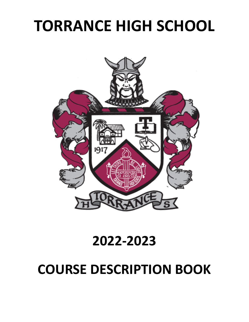# **TORRANCE HIGH SCHOOL**



# **2022-2023**

# **COURSE DESCRIPTION BOOK**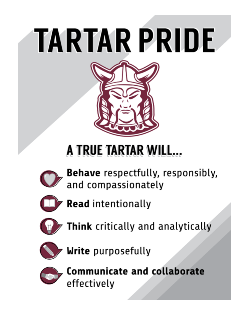# TARTAR PRIDE



# A TRUE TARTAR WILL...



**Behave** respectfully, responsibly, and compassionately



**Read** intentionally



Think critically and analytically



Write purposefully



**Communicate and collaborate** effectively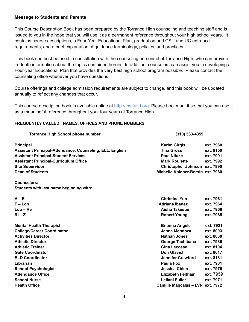### **Message to Students and Parents**

This Course Description Book has been prepared by the Torrance High counseling and teaching staff and is issued to you in the hope that you will use it as a permanent reference throughout your high school years. It contains course descriptions, a Four-Year Educational Plan, graduation and CSU and UC entrance requirements, and a brief explanation of guidance terminology, policies, and practices.

This book can best be used in consultation with the counseling personnel at Torrance High, who can provide in-depth information about the topics contained herein. In addition, counselors can assist you in developing a Four-year Educational Plan that provides the very best high school program possible. Please contact the counseling office whenever you have questions.

Course offerings and college admission requirements are subject to change, and this book will be updated annually to reflect any changes that occur.

This course description book is available online at http://ths.tusd.org. Please bookmark it so that you can use it as a meaningful reference throughout your four years at Torrance High.

### **FREQUENTLY CALLED: NAMES, OFFICES AND PHONE NUMBERS**

| <b>Torrance High School phone number</b>                 |                                   | (310) 533-4359 |  |  |
|----------------------------------------------------------|-----------------------------------|----------------|--|--|
| <b>Principal</b>                                         | <b>Karim Girgis</b>               | ext. 7980      |  |  |
| Assistant Principal-Attendance, Counseling, ELL, English | <b>Tina Gross</b>                 | ext. 8150      |  |  |
| <b>Assistant Principal-Student Services</b>              | <b>Paul Nitake</b>                | ext. 7991      |  |  |
| <b>Assistant Principal-Curriculum Office</b>             | <b>Mark Roulette</b>              | ext. 7992      |  |  |
| <b>Site Supervisor</b>                                   | Christopher Johnson ext. 7990     |                |  |  |
| <b>Dean of Students</b>                                  | Michelle Kaloper-Bersin ext. 7960 |                |  |  |
| <b>Counselors:</b>                                       |                                   |                |  |  |
| Students with last name beginning with:                  |                                   |                |  |  |
| $A - E$                                                  | <b>Christina Yun</b>              | ext. 7961      |  |  |
| $F - Lon$                                                | <b>Adriana Ibanez</b>             | ext. 7964      |  |  |
| $Loo - Re$                                               | Aisha Takesue                     | ext. 7966      |  |  |
| $Ri - Z$                                                 | <b>Robert Young</b>               | ext. 7965      |  |  |
| <b>Mental Health Therapist</b>                           | <b>Brianna Angele</b>             | ext. 7921      |  |  |
| <b>College/Career Coordinator</b>                        | Jenna Mendoza                     | ext. 8003      |  |  |
| <b>Activities Director</b>                               | <b>Nathan Jones</b>               | ext. 8030      |  |  |
| <b>Athletic Director</b>                                 | George Tachibana                  | ext. 7986      |  |  |
| <b>Athletic Trainer</b>                                  | Gina Leccese                      | ext. 8104      |  |  |
| <b>Gate Coordinator</b>                                  | <b>Don Glavich</b>                | ext. 8017      |  |  |
| <b>ELD Coordinator</b>                                   | <b>Jennifer Crawford</b>          | ext. 8181      |  |  |
| Librarian                                                | Paula Fox                         | ext. 7901      |  |  |
| <b>School Psychologist</b>                               | Jessica Chien                     | ext. 7976      |  |  |
| <b>Attendance Office</b>                                 | <b>Elizabeth Feltham</b>          | ext. 7959      |  |  |
| <b>School Nurse</b>                                      | Leilani Fuller                    | ext. 7971      |  |  |
| <b>Health Office</b>                                     | Camille Magcalas - LVN ext. 7972  |                |  |  |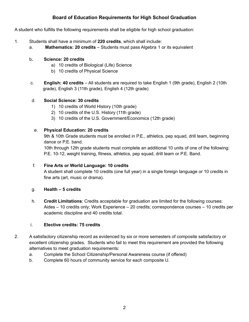# **Board of Education Requirements for High School Graduation**

A student who fulfills the following requirements shall be eligible for high school graduation:

- 1. Students shall have a minimum of **220 credits**, which shall include:
	- a. **Mathematics: 20 credits** Students must pass Algebra 1 or its equivalent

### b**. Science: 20 credits**

- a) 10 credits of Biological (Life) Science
- b) 10 credits of Physical Science
- c. **English: 40 credits** All students are required to take English 1 (9th grade), English 2 (10th grade), English 3 (11th grade), English 4 (12th grade)

## d. **Social Science: 30 credits**

- 1) 10 credits of World History (10th grade)
- 2) 10 credits of the U.S. History (11th grade)
- 3) 10 credits of the U.S. Government/Economics (12th grade)

### e. **Physical Education: 20 credits**

9th & 10th Grade students must be enrolled in P.E., athletics, pep squad, drill team, beginning dance or P.E. band.

10th through 12th grade students must complete an additional 10 units of one of the following: P.E. 10-12, weight training, fitness, athletics, pep squad, drill team or P.E. Band.

## f. **Fine Arts or World Language: 10 credits**

A student shall complete 10 credits (one full year) in a single foreign language or 10 credits in fine arts (art, music or drama).

## g. **Health – 5 credits**

h. **Credit Limitations**: Credits acceptable for graduation are limited for the following courses: Aides – 10 credits only; Work Experience – 20 credits; correspondence courses – 10 credits per academic discipline and 40 credits total.

## i. **Elective credits: 75 credits**

- 2. A satisfactory citizenship record as evidenced by six or more semesters of composite satisfactory or excellent citizenship grades. Students who fail to meet this requirement are provided the following alternatives to meet graduation requirements:
	- a. Complete the School Citizenship/Personal Awareness course (if offered)
	- b. Complete 60 hours of community service for each composite U.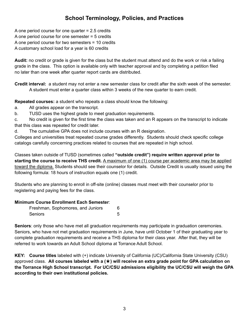# **School Terminology, Policies, and Practices**

A one period course for one quarter = 2.5 credits A one period course for one semester = 5 credits A one period course for two semesters = 10 credits A customary school load for a year is 60 credits

**Audit:** no credit or grade is given for the class but the student must attend and do the work or risk a failing grade in the class. This option is available only with teacher approval and by completing a petition filed no later than one week after quarter report cards are distributed.

**Credit interval:** a student may not enter a new semester class for credit after the sixth week of the semester. A student must enter a quarter class within 3 weeks of the new quarter to earn credit.

**Repeated courses:** a student who repeats a class should know the following:

- a. All grades appear on the transcript.
- b. TUSD uses the highest grade to meet graduation requirements.

c. No credit is given for the first time the class was taken and an R appears on the transcript to indicate that this class was repeated for credit later.

d. The cumulative GPA does not include courses with an R designation.

Colleges and universities treat repeated course grades differently. Students should check specific college catalogs carefully concerning practices related to courses that are repeated in high school.

Classes taken outside of TUSD (sometimes called **"outside credit") require written approval prior to starting the course to receive THS credit.** A maximum of one (1) course per academic area may be applied toward the diploma. Students should see their counselor for details. Outside Credit is usually issued using the following formula: 18 hours of instruction equals one (1) credit.

Students who are planning to enroll in off-site (online) classes must meet with their counselor prior to registering and paying fees for the class.

## **Minimum Course Enrollment Each Semester**:

| Freshman, Sophomores, and Juniors |  |
|-----------------------------------|--|
| Seniors                           |  |

**Seniors**: only those who have met all graduation requirements may participate in graduation ceremonies. Seniors, who have not met graduation requirements in June, have until October 1 of their graduating year to complete graduation requirements and receive a THS diploma for their class year. After that, they will be referred to work towards an Adult School diploma at Torrance Adult School.

**KEY: Course titles** labeled with (+) indicate University of California (UC)/California State University (CSU) approved class. **All courses labeled with a (**★**) will receive an extra grade point for GPA calculation on the Torrance High School transcript. For UC/CSU admissions eligibility the UC/CSU will weigh the GPA according to their own institutional policies.**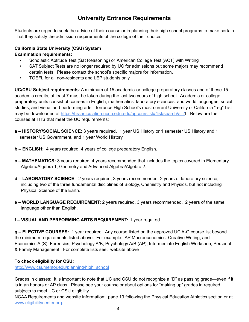# **University Entrance Requirements**

Students are urged to seek the advice of their counselor in planning their high school programs to make certain That they satisfy the admission requirements of the college of their choice.

# **California State University (CSU) System**

### **Examination requirements:**

- Scholastic Aptitude Test (Sat Reasoning) or American College Test (ACT) with Writing
- SAT Subject Tests are no longer required by UC for admissions but some majors may recommend certain tests. Please contact the school's specific majors for information.
- TOEFL for all non-residents and LEP students only

**UC/CSU Subject requirements**: A minimum of 15 academic or college preparatory classes and of these 15 academic credits, at least 7 must be taken during the last two years of high school. Academic or college preparatory units consist of courses in English, mathematics, laboratory sciences, and world languages, social studies, and visual and performing arts. Torrance High School's most current University of California "a-g" List may be downloaded at https://hs-articulation.ucop.edu.edu/agcourslist#/list/search/all?f= Below are the courses at THS that meet the UC requirements:

- **a – HISTORY/SOCIAL SCIENCE**: 3 years required. 1 year US History or 1 semester US History and 1 semester US Government, and 1 year World History
- **b – ENGLISH:** 4 years required. 4 years of college preparatory English.
- **c – MATHEMATICS:** 3 years required, 4 years recommended that includes the topics covered in Elementary Algebra/Algebra 1, Geometry and Advanced Algebra/Algebra 2.
- **d – LABORATORY SCIENCE:** 2 years required, 3 years recommended. 2 years of laboratory science, including two of the three fundamental disciplines of Biology, Chemistry and Physics, but not including Physical Science of the Earth.
- **e – WORLD LANGUAGE REQUIREMENT:** 2 years required, 3 years recommended. 2 years of the same language other than English.

**f – VISUAL AND PERFORMING ARTS REQUIREMENT:** 1 year required.

**g – ELECTIVE COURSES:** 1 year required. Any course listed on the approved UC A-G course list beyond the minimum requirements listed above. For example: AP Macroeconomics, Creative Writing, and Economics A (S), Forensics, Psychology A/B, Psychology A/B (AP), Intermediate English Workshop, Personal & Family Management. For complete lists see: website above

## T**o check eligibility for CSU:**

http://www.csumentor.edu/planning/high\_school

Grades in classes: It is important to note that UC and CSU do not recognize a "D" as passing grade—even if it is in an honors or AP class. Please see your counselor about options for "making up" grades in required subjects to meet UC or CSU eligibility.

NCAA Requirements and website information: page 19 following the Physical Education Athletics section or at www.eligibilitycenter.org.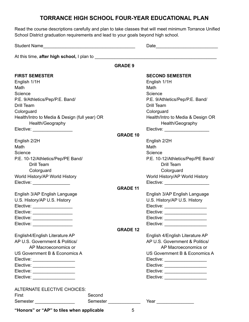# **TORRANCE HIGH SCHOOL FOUR-YEAR EDUCATIONAL PLAN**

**GRADE 9**

Read the course descriptions carefully and plan to take classes that will meet minimum Torrance Unified School District graduation requirements and lead to your goals beyond high school.

Student Name\_\_\_\_\_\_\_\_\_\_\_\_\_\_\_\_\_\_\_\_\_\_\_\_\_\_\_\_\_\_\_\_\_\_\_\_\_ Date\_\_\_\_\_\_\_\_\_\_\_\_\_\_\_\_\_\_\_\_\_\_\_\_\_

At this time, **after high school,** I plan to **and the state of the state of the state of the state of the state of the state of the state of the state of the state of the state of the state of the state of the state of the** 

| <b>FIRST SEMESTER</b>                                             |          |                 | <b>SECOND SEMESTER</b>            |
|-------------------------------------------------------------------|----------|-----------------|-----------------------------------|
| English 1/1H                                                      |          |                 | English 1/1H                      |
| Math                                                              |          |                 | Math                              |
| Science                                                           |          |                 | Science                           |
| P.E. 9/Athletics/Pep/P.E. Band/                                   |          |                 | P.E. 9/Athletics/Pep/P.E. Band/   |
| Drill Team                                                        |          |                 | <b>Drill Team</b>                 |
| Colorguard                                                        |          |                 | Colorguard                        |
|                                                                   |          |                 | Health/Intro to Media & Design OR |
| Health/Intro to Media & Design (full year) OR<br>Health/Geography |          |                 |                                   |
|                                                                   |          |                 | Health/Geography                  |
| Elective: ___________________                                     |          |                 | Elective: ______________________  |
|                                                                   |          | <b>GRADE 10</b> |                                   |
| English 2/2H                                                      |          |                 | English 2/2H                      |
| Math                                                              |          |                 | Math                              |
| Science                                                           |          |                 | Science                           |
| P.E. 10-12/Athletics/Pep/PE Band/                                 |          |                 | P.E. 10-12/Athletics/Pep/PE Band/ |
| <b>Drill Team</b>                                                 |          |                 | <b>Drill Team</b>                 |
| Colorguard                                                        |          |                 | Colorguard                        |
| World History/AP World History                                    |          |                 | World History/AP World History    |
| Elective: _________________                                       |          |                 | Elective: _____________________   |
|                                                                   |          | <b>GRADE 11</b> |                                   |
| English 3/AP English Language                                     |          |                 | English 3/AP English Language     |
| U.S. History/AP U.S. History                                      |          |                 | U.S. History/AP U.S. History      |
| Elective: __________________                                      |          |                 | Elective: ____________________    |
| Elective: _________________                                       |          |                 | Elective: __________________      |
| Elective: __________________                                      |          |                 | Elective: ___________________     |
| Elective: ____________________                                    |          |                 | Elective: ___________________     |
|                                                                   |          | <b>GRADE 12</b> |                                   |
| English4/English Literature AP                                    |          |                 | English 4/English Literature AP   |
| AP U.S. Government & Politics/                                    |          |                 | AP U.S. Government & Politics/    |
| AP Macroeconomics or                                              |          |                 | AP Macroeconomics or              |
| US Government B & Economics A                                     |          |                 | US Government B & Economics A     |
| Elective: ____________________                                    |          |                 | Elective: _____________________   |
| Elective: ____________________                                    |          |                 | Elective: ___________________     |
| Elective: ____________________                                    |          |                 | Elective: ____________________    |
| Elective: ___________________                                     |          |                 | Elective: ___________________     |
| ALTERNATE ELECTIVE CHOICES:                                       |          |                 |                                   |
| First                                                             | Second   |                 |                                   |
| Semester                                                          | Semester |                 |                                   |
| "Honors" or "AP" to tiles when applicable                         |          | $\overline{5}$  |                                   |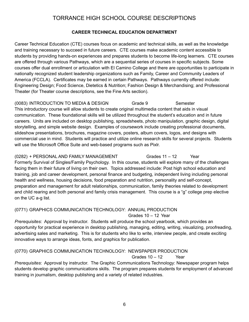# TORRANCE HIGH SCHOOL COURSE DESCRIPTIONS

### **CAREER TECHNICAL EDUCATION DEPARTMENT**

Career Technical Education (CTE) courses focus on academic and technical skills, as well as the knowledge and training necessary to succeed in future careers. CTE courses make academic content accessible to students by providing hands-on experiences and prepares students to become life-long learners. CTE courses are offered through various Pathways, which are a sequential series of courses in specific subjects. Some courses offer dual enrollment or articulation with El Camino College and there are opportunities to participate in nationally recognized student leadership organizations such as Family, Career and Community Leaders of America (FCCLA). Certificates may be earned in certain Pathways. Pathways currently offered include: Engineering Design; Food Science, Dietetics & Nutrition; Fashion Design & Merchandising; and Professional Theater (for Theater course descriptions, see the Fine Arts section).

### (0083) INTRODUCTION TO MEDIA & DESIGN Grade 9 Semester This introductory course will allow students to create original multimedia content that aids in visual communication. These foundational skills will be utilized throughout the student's education and in future careers. Units are included on desktop publishing, spreadsheets, photo manipulation, graphic design, digital storytelling, and simple website design. Examples of coursework include creating professional documents, slideshow presentations, brochures, magazine covers, posters, album covers, logos, and designs with commercial use in mind. Students will practice and utilize online research skills for several projects. Students will use the Microsoft Office Suite and web-based programs such as Pixlr.

### (0282) + PERSONAL AND FAMILY MANAGEMENT Grades 11 - 12 Year

Formerly Survival of Singles/Family Psychology. In this course, students will explore many of the challenges facing them in their future of living on their own. Topics addressed include: Post high school education and training, job and career development, personal finance and budgeting, independent living including personal health and wellness, housing decisions, food preparation and nutrition, personality and self-concept, preparation and management for adult relationships, communication, family theories related to development and child rearing and both personal and family crisis management. This course is a "g" college prep elective on the UC a-g list.

### (0771) GRAPHICS COMMUNICATION TECHNOLOGY: ANNUAL PRODUCTION

Grades 10 – 12 Year

*Prerequisites*: Approval by instructor. Students will produce the school yearbook, which provides an opportunity for practical experience in desktop publishing, managing, editing, writing, visualizing, proofreading, advertising sales and marketing. This is for students who like to write, interview people, and create exciting innovative ways to arrange ideas, fonts, and graphics for publication.

## (0770) GRAPHICS COMMUNICATION TECHNOLOGY: NEWSPAPER PRODUCTION

Grades  $10 - 12$  Year

*Prerequisites*: Approval by instructor. The Graphic Communications Technology: Newspaper program helps students develop graphic communications skills. The program prepares students for employment of advanced training in journalism, desktop publishing and a variety of related industries.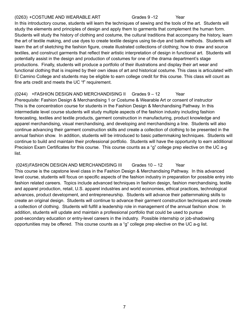### (0263) +COSTUME AND WEARABLE ART Grades 9 -12 Year

In this introductory course, students will learn the techniques of sewing and the tools of the art. Students will study the elements and principles of design and apply them to garments that complement the human form. Students will study the history of clothing and costume, the cultural traditions that accompany the history, learn the art of textile making, and use dyes to create textile designs using tie-dye and batik methods. Students will learn the art of sketching the fashion figure, create illustrated collections of clothing; how to draw and source textiles, and construct garments that reflect their artistic interpretation of design in functional art. Students will potentially assist in the design and production of costumes for one of the drama department's stage productions. Finally, students will produce a portfolio of their illustrations and display their art wear and functional clothing that is inspired by their own ideas of art and historical costume. This class is articulated with El Camino College and students may be eligible to earn college credit for this course. This class will count as fine arts credit and meets the UC "f" requirement.

(0244) +FASHION DESIGN AND MERCHANDISING II Grades 9 – 12 Year *Prerequisite*: Fashion Design & Merchandising 1 or Costume & Wearable Art or consent of instructor This is the concentration course for students in the Fashion Design & Merchandising Pathway. In this intermediate level course students will study multiple aspects of the fashion industry including fashion forecasting, textiles and textile products, garment construction in manufacturing, product knowledge and apparel merchandising, visual merchandising, and developing and merchandising a line. Students will also continue advancing their garment construction skills and create a collection of clothing to be presented in the annual fashion show. In addition, students will be introduced to basic patternmaking techniques. Students will continue to build and maintain their professional portfolio. Students will have the opportunity to earn additional Precision Exam Certificates for this course. This course counts as a "g" college prep elective on the UC a-g list.

(0245)FASHION DESIGN AND MERCHANDISING III Grades 10 – 12 Year This course is the capstone level class in the Fashion Design & Merchandising Pathway. In this advanced level course, students will focus on specific aspects of the fashion industry in preparation for possible entry into fashion related careers. Topics include advanced techniques in fashion design, fashion merchandising, textile and apparel production, retail, U.S. apparel industries and world economies, ethical practices, technological advances, product development, and entrepreneurship. Students will advance their patternmaking skills to create an original design. Students will continue to advance their garment construction techniques and create a collection of clothing. Students will fulfill a leadership role in management of the annual fashion show. In addition, students will update and maintain a professional portfolio that could be used to pursue post-secondary education or entry-level careers in the industry. Possible internship or job-shadowing opportunities may be offered. This course counts as a "g" college prep elective on the UC a-g list.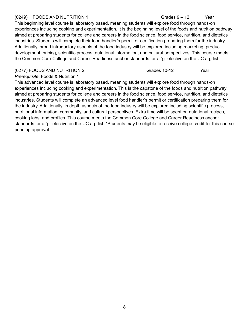### $(0249)$  + FOODS AND NUTRITION 1 Grades  $9-12$  Year

### This beginning level course is laboratory based, meaning students will explore food through hands-on experiences including cooking and experimentation. It is the beginning level of the foods and nutrition pathway aimed at preparing students for college and careers in the food science, food service, nutrition, and dietetics industries. Students will complete their food handler's permit or certification preparing them for the industry. Additionally, broad introductory aspects of the food industry will be explored including marketing, product development, pricing, scientific process, nutritional information, and cultural perspectives. This course meets the Common Core College and Career Readiness anchor standards for a "g" elective on the UC a-g list.

### (0277) FOODS AND NUTRITION 2 Grades 10-12 Year

### *Prerequisite*: Foods & Nutrition 1

This advanced level course is laboratory based, meaning students will explore food through hands-on experiences including cooking and experimentation. This is the capstone of the foods and nutrition pathway aimed at preparing students for college and careers in the food science, food service, nutrition, and dietetics industries. Students will complete an advanced level food handler's permit or certification preparing them for the industry. Additionally, in depth aspects of the food industry will be explored including scientific process, nutritional information, community, and cultural perspectives. Extra time will be spent on nutritional recipes, cooking labs, and profiles. This course meets the Common Core College and Career Readiness anchor standards for a "g" elective on the UC a-g list. \*Students may be eligible to receive college credit for this course pending approval.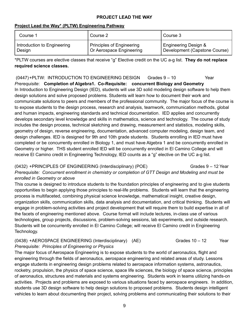### **PROJECT LEAD THE WAY**

### **Project Lead the Way\* (PLTW) Engineering Pathway**

| Course 1                    | Course 2                         | Course 3                      |
|-----------------------------|----------------------------------|-------------------------------|
| Introduction to Engineering | <b>Principles of Engineering</b> | Engineering Design &          |
| Design                      | Or Aerospace Engineering         | Development (Capstone Course) |

\*PLTW courses are elective classes that receive "g" Elective credit on the UC a-g list. **They do not replace required science classes.**

(0447)+PLTW: INTRODUCTION TO ENGINEERING DESIGN Grades 9 – 10 Year *Prerequisite*: **Completion of Algebra1. Co-Requisite: concurrent Biology and Geometry** In Introduction to Engineering Design (IED), students will use 3D solid modeling design software to help them design solutions and solve proposed problems. Students will learn how to document their work and communicate solutions to peers and members of the professional community. The major focus of the course is to expose students to the design process, research and analysis, teamwork, communication methods, global and human impacts, engineering standards and technical documentation. IED applies and concurrently develops secondary level knowledge and skills in mathematics, science and technology. The course of study includes the design process, technical sketching and drawing, measurement and statistics, modeling skills, geometry of design, reverse engineering, documentation, advanced computer modeling, design team, and design challenges. IED is designed for 9th and 10th grade students. Students enrolling in IED must have completed or be concurrently enrolled in Biology 1, and must have Algebra 1 and be concurrently enrolled in Geometry or higher. THS student enrolled IED will be concurrently enrolled in El Camino College and will receive El Camino credit in Engineering Technology, IED counts as a "g" elective on the UC a-g list.

(0432) +PRINCIPLES OF ENGINEERING (Interdisciplinary) (POE) Grades 9 – 12 Year *Prerequisite: Concurrent enrollment in chemistry or completion of GTT Design and Modeling and must be enrolled in Geometry or above*

This course is designed to introduce students to the foundation principles of engineering and to give students opportunities to begin applying those principles to real-life problems. Students will learn that the engineering process is multifaceted, combining physical science knowledge, mathematical insight, creative design, organization skills, communication skills, data analysis and documentation, and critical thinking. Students will engage in problem-solving activities and project development that will require them to build expertise in all of the facets of engineering mentioned above. Course format will include lectures, in-class use of various technologies, group projects, discussions, problem-solving sessions, lab experiments, and outside research. Students will be concurrently enrolled in El Camino College; will receive El Camino credit in Engineering Technology.

(0438) +AEROSPACE ENGINEERING (Interdisciplinary) (AE) Grades 10 – 12 Year *Prerequisite: Principles of Engineering or Physics*

The major focus of Aerospace Engineering is to expose students to the world of aeronautics, flight and engineering through the fields of aeronautics, aerospace engineering and related areas of study. Lessons engage students in engineering design problems related to aerospace information systems, astronautics, rocketry, propulsion, the physics of space science, space life sciences, the biology of space science, principles of aeronautics, structures and materials and systems engineering. Students work in teams utilizing hands-on activities. Projects and problems are exposed to various situations faced by aerospace engineers. In addition, students use 3D design software to help design solutions to proposed problems. Students design intelligent vehicles to learn about documenting their project, solving problems and communicating their solutions to their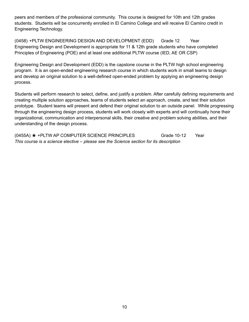peers and members of the professional community. This course is designed for 10th and 12th grades students. Students will be concurrently enrolled in El Camino College and will receive El Camino credit in Engineering Technology.

(0458) +PLTW ENGINEERING DESIGN AND DEVELOPMENT (EDD) Grade 12 Year Engineering Design and Development is appropriate for 11 & 12th grade students who have completed Principles of Engineering (POE) and at least one additional PLTW course (IED, AE OR CSP)

Engineering Design and Development (EDD) is the capstone course in the PLTW high school engineering program. It is an open-ended engineering research course in which students work in small teams to design and develop an original solution to a well-defined open-ended problem by applying an engineering design process.

Students will perform research to select, define, and justify a problem. After carefully defining requirements and creating multiple solution approaches, teams of students select an approach, create, and test their solution prototype. Student teams will present and defend their original solution to an outside panel. While progressing through the engineering design process, students will work closely with experts and will continually hone their organizational, communication and interpersonal skills, their creative and problem solving abilities, and their understanding of the design process.

(0455A) ★ +PLTW AP COMPUTER SCIENCE PRINCIPLES Grade 10-12 Year *This course is a science elective – please see the Science section for its description*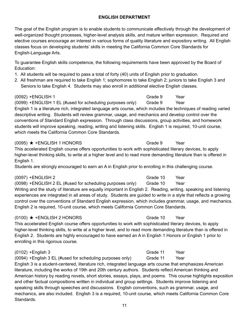## **ENGLISH DEPARTMENT**

The goal of the English program is to enable students to communicate effectively through the development of well-organized thought processes, higher-level analysis skills, and mature written expression. Required and elective courses encourage an interest in various forms of quality literature and expository writing. All English classes focus on developing students' skills in meeting the California Common Core Standards for English-Language Arts.

To guarantee English skills competence, the following requirements have been approved by the Board of Education:

- 1. All students will be required to pass a total of forty (40) units of English prior to graduation.
- 2. All freshman are required to take English 1; sophomores to take English 2; juniors to take English 3 and Seniors to take English 4. Students may also enroll in additional elective English classes.

(0092) +ENGLISH 1 Grade 9 Year

(0099) +ENGLISH 1 EL (#used for scheduling purposes only) Grade 9 Year English 1 is a literature rich, integrated language arts course, which includes the techniques of reading varied descriptive writing. Students will review grammar, usage, and mechanics and develop control over the conventions of Standard English expression. Through class discussions, group activities, and homework students will improve speaking, reading, writing and listening skills. English 1 is required, 10-unit course, which meets the California Common Core Standards.

### $(0095)$   $\star$  + ENGLISH 1 HONORS Grade 9 Year

This accelerated English course offers opportunities to work with sophisticated literary devices, to apply higher-level thinking skills, to write at a higher level and to read more demanding literature than is offered in English 1.

Students are strongly encouraged to earn an A in English prior to enrolling in this challenging course.

(0097) +ENGLISH 2 Grade 10 Year (0098) +ENGLISH 2 EL (#used for scheduling purposes only) Grade 10 Year Writing and the study of literature are equally important in English 2. Reading, writing, speaking and listening experiences are integrated in all areas of study. Students are guided to write in a style that reflects a growing control over the conventions of Standard English expression, which includes grammar, usage, and mechanics. English 2 is required, 10-unit course, which meets California Common Core Standards.

## $(0100)$   $\star$  +ENGLISH 2 HONORS Grade 10 Year

This accelerated English course offers opportunities to work with sophisticated literary devices, to apply higher-level thinking skills, to write at a higher level, and to read more demanding literature than is offered in English 2. Students are highly encouraged to have earned an A in English 1 Honors or English 1 prior to enrolling in this rigorous course.

(0102) +English 3 Grade 11 Year (0094) +English 3 EL (#used for scheduling purposes only) Grade 11 Year English 3 is a student-centered, literature rich, integrated language arts course that emphasizes American literature, including the works of 19th and 20th century authors. Students reflect American thinking and American history by reading novels, short stories, essays, plays, and poems. This course highlights exposition and other factual compositions written in individual and group settings. Students improve listening and speaking skills through speeches and discussions. English conventions, such as grammar, usage, and mechanics, are also included. English 3 is a required, 10-unit course, which meets California Common Core **Standards**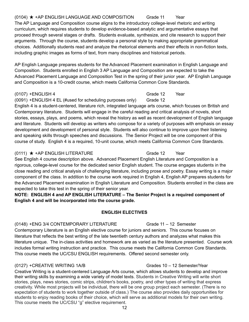# $(0104)$   $\star$  +AP ENGLISH LANGUAGE AND COMPOSITION Grade 11 Year

The AP Language and Composition course aligns to the introductory college-level rhetoric and writing curriculum, which requires students to develop evidence-based analytic and argumentative essays that proceed through several stages or drafts. Students evaluate, synthesize, and cite research to support their arguments. Through the course, students develop a personal style by making appropriate grammatical choices. Additionally students read and analyze the rhetorical elements and their effects in non-fiction texts, including graphic images as forms of text, from many disciplines and historical periods.

AP English Language prepares students for the Advanced Placement examination in English Language and Composition. Students enrolled in English 3 AP Language and Composition are expected to take the Advanced Placement Language and Composition Test in the spring of their junior year. AP English Language and Composition is a 10-credit course, which meets California Common Core Standards.

### (0107) +ENGLISH 4 Grade 12 Year

(0091) +ENGLISH 4 EL (#used for scheduling purposes only) Grade 12

English 4 is a student-centered, literature rich, integrated language arts course, which focuses on British and Contemporary literature. Students will engage in the careful reading and critical analysis of novels, short stories, essays, plays, and poems, which reveal the history as well as recent development of English language and literature. Students will develop as writers who compose for a variety of purposes with emphasis on essay development and development of personal style. Students will also continue to improve upon their listening and speaking skills through speeches and discussions. The Senior Project will be one component of this course of study. English 4 is a required, 10-unit course, which meets California Common Core Standards.

### $(0111)$   $\star$  +AP ENGLISH LITERATURE Grade 12 Year

See English 4 course description above. Advanced Placement English Literature and Composition is a rigorous, college-level course for the dedicated senior English student. The course engages students in the close reading and critical analysis of challenging literature, including prose and poetry. Essay writing is a major component of the class. In addition to the course work required in English 4, English AP prepares students for the Advanced Placement examination in English Literature and Composition. Students enrolled in the class are expected to take this test in the spring of their senior year.

**NOTE: ENGLISH 4 and AP ENGLISH LITERATURE – The Senior Project is a required component of English 4 and will be incorporated into the course grade.**

## **ENGLISH ELECTIVES**

### (0148) +ENG 3/4 CONTEMPORARY LITERATURE Grade 11 – 12 Semester

Contemporary Literature is an English elective course for juniors and seniors. This course focuses on literature that reflects the best writing of the late twentieth century authors and analyzes what makes this literature unique. The in-class activities and homework are as varied as the literature presented. Course work includes formal writing instruction and practice. This course meets the California Common Core Standards. This course meets the UC/CSU ENGLISH requirements. Offered second semester only.

### (0127) +CREATIVE WRITING 1A/B Grades 10 – 12 Semester/Year

Creative Writing is a student-centered Language Arts course, which allows students to develop and improve their writing skills by examining a wide variety of model texts. Students in Creative Writing will write short stories, plays, news stories, comic strips, children's books, poetry, and other types of writing that express creativity. While most projects will be individual, there will be one group project each semester. (There is no expectation of students to work together outside of class.) The course also provides daily opportunities for students to enjoy reading books of their choice, which will serve as additional models for their own writing. This course meets the UC/CSU "g" elective requirement.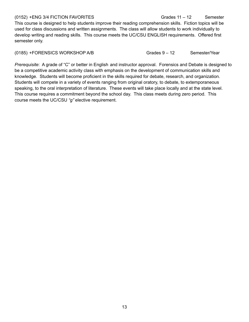(0152) +ENG 3/4 FICTION FAVORITES Grades 11 – 12 Semester This course is designed to help students improve their reading comprehension skills. Fiction topics will be used for class discussions and written assignments. The class will allow students to work individually to develop writing and reading skills. This course meets the UC/CSU ENGLISH requirements. Offered first semester only.

(0185) +FORENSICS WORKSHOP A/B Grades 9 – 12 Semester/Year

*Prerequisite*: A grade of "C" or better in English and instructor approval. Forensics and Debate is designed to be a competitive academic activity class with emphasis on the development of communication skills and knowledge. Students will become proficient in the skills required for debate, research, and organization. Students will compete in a variety of events ranging from original oratory, to debate, to extemporaneous speaking, to the oral interpretation of literature. These events will take place locally and at the state level. This course requires a commitment beyond the school day. This class meets during zero period. This course meets the UC/CSU *"g"* elective requirement.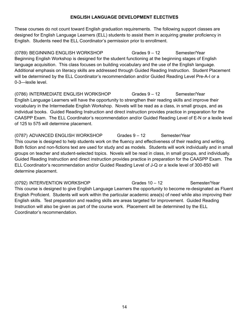### **ENGLISH LANGUAGE DEVELOPMENT ELECTIVES**

These courses do not count toward English graduation requirements. The following support classes are designed for English Language Learners (ELL) students to assist them in acquiring greater proficiency in English. Students need the ELL Coordinator's permission prior to enrollment.

(0789) BEGINNING ENGLISH WORKSHOP Grades 9 – 12 Semester/Year Beginning English Workshop is designed for the student functioning at the beginning stages of English language acquisition. This class focuses on building vocabulary and the use of the English language. Additional emphasis on literacy skills are addressed through Guided Reading Instruction. Student Placement will be determined by the ELL Coordinator's recommendation and/or Guided Reading Level Pre-A-I or a 0-3—lexile level.

(0786) INTERMEDIATE ENGLISH WORKSHOP Grades 9 – 12 Semester/Year English Language Learners will have the opportunity to strengthen their reading skills and improve their vocabulary in the Intermediate English Workshop. Novels will be read as a class, in small groups, and as individual books. Guided Reading Instruction and direct instruction provides practice in preparation for the CAASPP Exam. The ELL Coordinator's recommendation and/or Guided Reading Level of E-N or a lexile level of 125 to 575 will determine placement.

(0787) ADVANCED ENGLISH WORKSHOP Grades 9 – 12 Semester/Year This course is designed to help students work on the fluency and effectiveness of their reading and writing. Both fiction and non-fictions text are used for study and as models. Students will work individually and in small groups on teacher and student-selected topics. Novels will be read in class, in small groups, and individually. Guided Reading Instruction and direct instruction provides practice in preparation for the CAASPP Exam. The ELL Coordinator's recommendation and/or Guided Reading Level of J-Q or a lexile level of 300-850 will determine placement.

(0792) INTERVENTION WORKSHOP Grades 10 – 12 Semester/Year This course is designed to give English Language Learners the opportunity to become re-designated as Fluent English Proficient. Students will work within the particular academic area(s) of need while also improving their English skills. Test preparation and reading skills are areas targeted for improvement. Guided Reading Instruction will also be given as part of the course work. Placement will be determined by the ELL Coordinator's recommendation.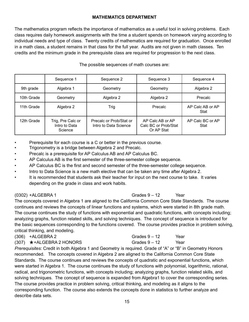### **MATHEMATICS DEPARTMENT**

The mathematics program reflects the importance of mathematics as a useful tool in solving problems. Each class requires daily homework assignments with the time a student spends on homework varying according to individual needs and type of class. Twenty credits of mathematics are required for graduation. Once enrolled in a math class, a student remains in that class for the full year. Audits are not given in math classes. Ten credits and the minimum grade in the prerequisite class are required for progression to the next class.

|            | Sequence 1                                    | Sequence 2                                       | Sequence 3                                             | Sequence 4               |
|------------|-----------------------------------------------|--------------------------------------------------|--------------------------------------------------------|--------------------------|
| 9th grade  | Algebra 1                                     | Geometry                                         | Geometry                                               | Algebra 2                |
| 10th Grade | Geometry                                      | Algebra 2                                        | Algebra 2                                              | Precalc                  |
| 11th Grade | Algebra 2                                     | Trig                                             | Precalc                                                | AP Calc AB or AP<br>Stat |
| 12th Grade | Trig, Pre Calc or<br>Intro to Data<br>Science | Precalc or Prob/Stat or<br>Intro to Data Science | AP Calc AB or AP<br>Calc BC or Prob/Stat<br>Or AP Stat | AP Calc BC or AP<br>Stat |

The possible sequences of math courses are:

- Prerequisite for each course is a C or better in the previous course.
- Trigonometry is a bridge between Algebra 2 and Precalc.
- Precalc is a prerequisite for AP Calculus AB and AP Calculus BC.
- AP Calculus AB is the first semester of the three-semester college sequence.
- AP Calculus BC is the first and second semester of the three-semester college sequence.
- Intro to Data Science is a new math elective that can be taken any time after Algebra 2.
- It is recommended that students ask their teacher for input on the next course to take. It varies depending on the grade in class and work habits.

(0302) +ALGEBRA 1 Grades 9 – 12 Year

The concepts covered in Algebra 1 are aligned to the California Common Core State Standards. The course continues and reviews the concepts of linear functions and systems, which were started in 8th grade math. The course continues the study of functions with exponential and quadratic functions, with concepts including; analyzing graphs, function related skills, and solving techniques. The concept of sequence is introduced for the basic sequences corresponding to the functions covered. The course provides practice in problem solving, critical thinking, and modeling.

| $(306)$ +ALGEBRA 2                | Grades $9-12$ | Year |
|-----------------------------------|---------------|------|
| $(307)$ $\star$ +ALGEBRA 2 HONORS | Grades $9-12$ | Year |

*Prerequisites:* Credit in both Algebra 1 and Geometry is required. Grade of "A" or "B" in Geometry Honors recommended. The concepts covered in Algebra 2 are aligned to the California Common Core State Standards. The course continues and reviews the concepts of quadratic and exponential functions, which were started in Algebra 1. The course continues the study of functions with polynomial, logarithmic, rational, radical, and trigonometric functions, with concepts including; analyzing graphs, function related skills, and solving techniques. The concept of sequence is expanded from Algebra1 to cover the corresponding series. The course provides practice in problem solving, critical thinking, and modeling as it aligns to the corresponding function. The course also extends the concepts done in statistics to further analyze and describe data sets.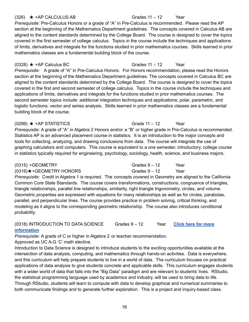### 16

### (326)  $\star$  +AP CALCULUS AB Grades 11 – 12 Year

*Prerequisite:* Pre-Calculus Honors or a grade of "A" in Pre-Calculus is recommended. Please read the AP section at the beginning of the Mathematics Department guidelines. The concepts covered in Calculus AB are aligned to the content standards determined by the College Board. The course is designed to cover the topics covered in the first semester of college calculus. Topics in the course include the techniques and applications of limits, derivatives and integrals for the functions studied in prior mathematics courses. Skills learned in prior mathematics classes are a fundamental building block of the course.

 $(0328)$  ★ +AP Calculus BC Grades 11 – 12 Year

*Prerequisite:* A grade of "A" in Pre-Calculus Honors. For Honors recommendation, please read the Honors section at the beginning of the Mathematics Department guidelines. The concepts covered in Calculus BC are aligned to the content standards determined by the College Board. The course is designed to cover the topics covered in the first and second semester of college calculus. Topics in the course include the techniques and applications of limits, derivatives and integrals for the functions studied in prior mathematics courses. The second semester topics include: additional integration techniques and applications; polar, parametric, and logistic functions; vector and series analysis. Skills learned in prior mathematics classes are a fundamental building block of the course.

### $(0299)$   $\star$  +AP STATISTICS Grade 11 – 12 Year

*Prerequisite:* A grade of "A" in Algebra 2 Honors and/or a "B" or higher grade in Pre-Calculus is recommended. Statistics AP is an advanced placement course in statistics. It is an introduction to the major concepts and tools for collecting, analyzing, and drawing conclusions from data. The course will integrate the use of graphing calculators and computers. This course is equivalent to a one semester, introductory, college course in statistics typically required for engineering, psychology, sociology, health, science, and business majors.

| $(0315) + GEOMETRY$                | Grades $9 - 12$ | Year |
|------------------------------------|-----------------|------|
| $(0316)$ $\star$ + GEOMETRY HONORS | Grades $9-12$   | Year |

*Prerequisite:* Credit in Algebra 1 is required. The concepts covered in Geometry are aligned to the California Common Core State Standards. The course covers transformations, constructions, congruence of triangles, triangle relationships, parallel line relationships, similarity, right triangle trigonometry, circles, and volume. Geometric properties are expressed with equations for many relationships as well as for circles, parabolas, parallel, and perpendicular lines. The course provides practice in problem solving, critical thinking, and modeling as it aligns to the corresponding geometric relationship. The course also introduces conditional probability.

(0318) INTRODUCTION TO DATA SCIENCE Grades 9 – 12 Year **Click here for [more](https://sites.google.com/tusd.org/tusdmathematicspathways/secondary-mathematics/introduction-to-data-science) [information](https://sites.google.com/tusd.org/tusdmathematicspathways/secondary-mathematics/introduction-to-data-science)**

*Prerequisite:* A grade of C or higher in Algebra 2 or teacher recommendation. Approved as UC A-G 'C' math elective.

Introduction to Data Science is designed to introduce students to the exciting opportunities available at the intersection of data analysis, computing, and mathematics through hands-on activities. Data is everywhere, and this curriculum will help prepare students to live in a world of data. The curriculum focuses on practical applications of data analysis to give students concrete and applicable skills. This curriculum engages students with a wider world of data that falls into the "Big Data" paradigm and are relevant to students' lives. RStudio, the statistical programming language used by academics and industry, will be used to bring data to life. Through RStudio, students will learn to compute with data to develop graphical and numerical summaries to both communicate findings and to generate further exploration. This is a project and inquiry-based class.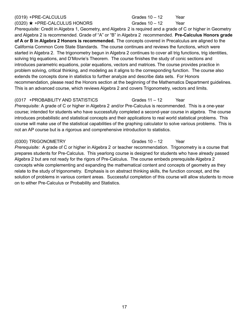### (0319) +PRE-CALCULUS Grades 10 – 12 Year

 $(0320) \star +PRE-CALCULUS HONORS$  Grades  $10-12$  Year *Prerequisite:* Credit in Algebra 1, Geometry, and Algebra 2 is required and a grade of C or higher in Geometry and Algebra 2 is recommended. Grade of "A" or "B" in Algebra 2 recommended. **Pre-Calculus Honors grade of A or B in Algebra 2 Honors is recommended.** The concepts covered in Precalculus are aligned to the California Common Core State Standards. The course continues and reviews the functions, which were started in Algebra 2. The trigonometry begun in Algebra 2 continues to cover all trig functions, trig identities, solving trig equations, and D'Movrie's Theorem. The course finishes the study of conic sections and introduces parametric equations, polar equations, vectors and matrices. The course provides practice in problem solving, critical thinking, and modeling as it aligns to the corresponding function. The course also extends the concepts done in statistics to further analyze and describe data sets. For Honors

recommendation, please read the Honors section at the beginning of the Mathematics Department guidelines. This is an advanced course, which reviews Algebra 2 and covers Trigonometry, vectors and limits.

### (0317 +PROBABILITY AND STATISTICS Grades 11 – 12 Year

*Prerequisite:* A grade of C or higher in Algebra 2 and/or Pre-Calculus is recommended. This is a one-year course; intended for students who have successfully completed a second-year course in algebra. The course introduces probabilistic and statistical concepts and their applications to real world statistical problems. This course will make use of the statistical capabilities of the graphing calculator to solve various problems. This is not an AP course but is a rigorous and comprehensive introduction to statistics.

(0300) TRIGONOMETRY Grades 10 – 12 Year

*Prerequisite:* A grade of C or higher in Algebra 2 or teacher recommendation. Trigonometry is a course that prepares students for Pre-Calculus. This yearlong course is designed for students who have already passed Algebra 2 but are not ready for the rigors of Pre-Calculus. The course embeds prerequisite Algebra 2 concepts while complementing and expanding the mathematical content and concepts of geometry as they relate to the study of trigonometry. Emphasis is on abstract thinking skills, the function concept, and the solution of problems in various content areas. Successful completion of this course will allow students to move on to either Pre-Calculus or Probability and Statistics.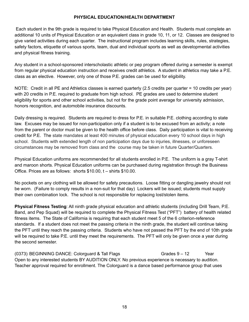### **PHYSICAL EDUCATION/HEALTH DEPARTMENT**

Each student in the 9th grade is required to take Physical Education and Health. Students must complete an additional 10 units of Physical Education or an equivalent class in grade 10, 11, or 12. Classes are designed to give varied activities during each quarter. The instructional program includes learning skills, rules, strategies, safety factors, etiquette of various sports, team, dual and individual sports as well as developmental activities and physical fitness training.

Any student in a school-sponsored interscholastic athletic or pep program offered during a semester is exempt from regular physical education instruction and receives credit athletics. A student in athletics may take a P.E. class as an elective. However, only one of those P.E. grades can be used for eligibility.

NOTE: Credit in all PE and Athletics classes is earned quarterly (2.5 credits per quarter = 10 credits per year) with 20 credits in P.E. required to graduate from high school. PE grades are used to determine student eligibility for sports and other school activities, but not for the grade point average for university admission, honors recognition, and automobile insurance discounts.

Daily dressing is required. Students are required to dress for P.E. in suitable P.E. clothing according to state law. Excuses may be issued for non-participation only if a student is to be excused from an activity; a note from the parent or doctor must be given to the health office before class. Daily participation is vital to receiving credit for P.E. The state mandates at least 400 minutes of physical education every 10 school days in high school. Students with extended length of non participation days due to injuries, illnesses, or unforeseen circumstances may be removed from class and the course may be taken in future Quarter/Quarters.

Physical Education uniforms are recommended for all students enrolled in P.E. The uniform is a gray T-shirt and maroon shorts. Physical Education uniforms can be purchased during registration through the Business Office. Prices are as follows: shorts \$10.00, t – shirts \$10.00.

No pockets on any clothing will be allowed for safety precautions. Loose fitting or dangling jewelry should not be worn. (Failure to comply results in a non-suit for that day) Lockers will be issued; students must supply their own combination lock. The school is not responsible for replacing lost/stolen items.

**Physical Fitness Testing**: All ninth grade physical education and athletic students (including Drill Team, P.E. Band, and Pep Squad) will be required to complete the Physical Fitness Test ("PFT") battery of health related fitness items. The State of California is requiring that each student meet 5 of the 6 criterion-reference standards. If a student does not meet the passing criteria in the ninth grade, the student will continue taking the PFT until they reach the passing criteria. Students who have not passed the PFT by the end of 10th grade will be required to take P.E. until they meet the requirements. The PFT will only be given once a year during the second semester.

 $(0373)$  BEGINNING DANCE: Colorguard & Tall Flags Grades  $9 - 12$  Year Open to any interested students BY AUDITION ONLY. No previous experience is necessary to audition. Teacher approval required for enrollment. The Colorguard is a dance based performance group that uses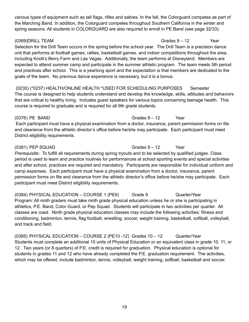various types of equipment such as tall flags, rifles and sabres. In the fall, the Colorguard competes as part of the Marching Band. In addition, the Colorguard competes throughout Southern California in the winter and spring seasons. All students in COLORGUARD are also required to enroll in PE Band (see page 32/33).

## $(0369)$ DRILL TEAM  $G$ rades 9 – 12 Year

Selection for the Drill Team occurs in the spring before the school year. The Drill Team is a precision dance unit that performs at football games, rallies, basketball games, and indoor competitions throughout the area, including Knott's Berry Farm and Las Vegas. Additionally, the team performs at Disneyland. Members are expected to attend summer camp and participate in the summer athletic program. The team meets 5th period and practices after school. This is a yearlong sport and the expectation is that members are dedicated to the goals of the team. No previous dance experience is necessary, but it is a bonus.

(0235) (\*0237) HEALTH/ONLINE HEALTH \*USED FOR SCHEDULING PURPOSES Semester The course is designed to help students understand and develop the knowledge, skills, attitudes and behaviors that are critical to healthy living. Includes guest speakers for various topics concerning teenage health. This course is required to graduate and is required for all 9th grade students.

(0376) PE BAND Grades 9 – 12 Year Each participant must have a physical examination from a doctor, insurance, parent permission forms on file and clearance from the athletic director's office before he/she may participate. Each participant must meet District eligibility requirements.

## $(0381)$  PEP SQUAD Grades  $9 - 12$  Year

*Prerequisite:* To fulfill all requirements during spring tryouts and to be selected by qualified judges. Class period is used to learn and practice routines for performances at school sporting events and special activities and after school, practices are required and mandatory. Participants are responsible for individual uniform and camp expenses. Each participant must have a physical examination from a doctor, insurance, parent permission forms on file and clearance from the athletic director's office before he/she may participate. Each participant must meet District eligibility requirements.

(0384) PHYSICAL EDUCATION – COURSE 1 (PE9) Grade 9 Quarter/Year Program: All ninth graders must take ninth grade physical education unless he or she is participating in athletics, P.E. Band, Color Guard, or Pep Squad. Students will participate in two activities per quarter. All classes are coed. Ninth grade physical education classes may include the following activities: fitness and conditioning, badminton, tennis, flag football, wrestling, soccer, weight training, basketball, softball, volleyball, and track and field.

(0385) PHYSICAL EDUCATION – COURSE 2 (PE10 -12) Grades 10 – 12 Quarter/Year Students must complete an additional 10 units of Physical Education or an equivalent class in grade 10, 11, or 12. Two years (or 8 quarters) of P.E. credit is required for graduation. Physical education is optional for students in grades 11 and 12 who have already completed the P.E. graduation requirement. The activities, which may be offered, include badminton, tennis, volleyball, weight training, softball, basketball and soccer.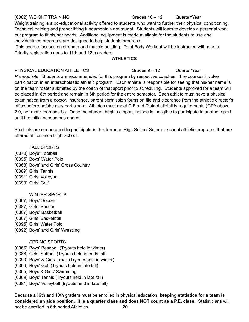### (0382) WEIGHT TRAINING Grades 10 – 12 Quarter/Year

Weight training is a co-educational activity offered to students who want to further their physical conditioning. Technical training and proper lifting fundamentals are taught. Students will learn to develop a personal work out program to fit his/her needs. Additional equipment is made available for the students to use and individualized programs are designed to help students progress.

This course focuses on strength and muscle building. Total Body Workout will be instructed with music. Priority registration goes to 11th and 12th graders.

### **ATHLETICS**

### PHYSICAL EDUCATION ATHLETICS Grades 9 – 12 Quarter/Year

*Prerequisite:* Students are recommended for this program by respective coaches. The courses involve participation in an interscholastic athletic program. Each athlete is responsible for seeing that his/her name is on the team roster submitted by the coach of that sport prior to scheduling. Students approved for a team will be placed in 6th period and remain in 6th period for the entire semester. Each athlete must have a physical examination from a doctor, insurance, parent permission forms on file and clearance from the athletic director's office before he/she may participate. Athletes must meet CIF and District eligibility requirements (GPA above 2.0, nor more than one U). Once the student begins a sport, he/she is ineligible to participate in another sport until the initial season has ended.

Students are encouraged to participate in the Torrance High School Summer school athletic programs that are offered at Torrance High School.

### FALL SPORTS

- (0370) Boys' Football
- (0395) Boys' Water Polo
- (0368) Boys' and Girls' Cross Country
- (0389) Girls' Tennis
- (0391) Girls' Volleyball
- (0399) Girls' Golf

### WINTER SPORTS

- (0387) Boys' Soccer
- (0387) Girls' Soccer
- (0367) Boys' Basketball
- (0367) Girls' Basketball
- (0395) Girls' Water Polo
- (0392) Boys' and Girls' Wrestling

### SPRING SPORTS

- (0366) Boys' Baseball (Tryouts held in winter)
- (0388) Girls' Softball (Tryouts held in early fall)
- (0390) Boys' & Girls' Track (Tryouts held in winter)
- (0399) Boys' Golf (Tryouts held in late fall)
- (0395) Boys & Girls' Swimming
- (0389) Boys' Tennis (Tryouts held in late fall)
- (0391) Boys' Volleyball (tryouts held in late fall)

Because all 9th and 10th graders must be enrolled in physical education, **keeping statistics for a team is considered an aide position. It is a quarter class and does NOT count as a P.E. class**. Statisticians will not be enrolled in 6th period Athletics. 20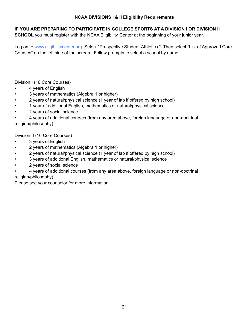### **NCAA DIVISIONS I & II Eligibility Requirements**

### **IF YOU ARE PREPARING TO PARTICIPATE IN COLLEGE SPORTS AT A DIVISION I OR DIVISION II**

**SCHOOL** you must register with the NCAA Eligibility Center at the beginning of your junior year.

Log on to www.eligibilitycenter.org Select "Prospective Student-Athletics." Then select "List of Approved Core Courses" on the left side of the screen. Follow prompts to select a school by name.

Division I (16 Core Courses)

- 4 years of English
- 3 years of mathematics (Algebra 1 or higher)
- 2 years of natural/physical science (1 year of lab if offered by high school)
- 1 year of additional English, mathematics or natural/physical science
- 2 years of social science

• 4 years of additional courses (from any area above, foreign language or non-doctrinal religion/philosophy)

Division II (16 Core Courses)

- 3 years of English
- 2 years of mathematics (Algebra 1 or higher)
- 2 years of natural/physical science (1 year of lab if offered by high school)
- 3 years of additional English, mathematics or natural/physical science
- 2 years of social science
- 4 years of additional courses (from any area above, foreign language or non-doctrinal religion/philosophy)

Please see your counselor for more information.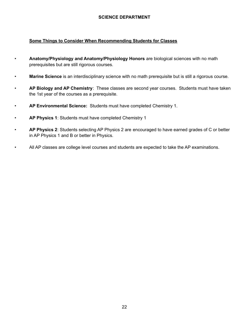### **SCIENCE DEPARTMENT**

### **Some Things to Consider When Recommending Students for Classes**

- **Anatomy/Physiology and Anatomy/Physiology Honors** are biological sciences with no math prerequisites but are still rigorous courses.
- **Marine Science** is an interdisciplinary science with no math prerequisite but is still a rigorous course.
- **AP Biology and AP Chemistry**: These classes are second year courses. Students must have taken the 1st year of the courses as a prerequisite.
- **AP Environmental Science:** Students must have completed Chemistry 1.
- **AP Physics 1**: Students must have completed Chemistry 1
- **AP Physics 2**: Students selecting AP Physics 2 are encouraged to have earned grades of C or better in AP Physics 1 and B or better in Physics.
- All AP classes are college level courses and students are expected to take the AP examinations.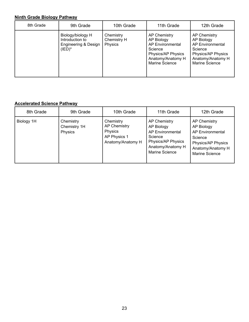# **Ninth Grade Biology Pathway**

| 8th Grade | 9th Grade                                                                 | 10th Grade                                 | 11th Grade                                                                                                             | 12th Grade                                                                                                                    |
|-----------|---------------------------------------------------------------------------|--------------------------------------------|------------------------------------------------------------------------------------------------------------------------|-------------------------------------------------------------------------------------------------------------------------------|
|           | Biology/biology H<br>Introduction to<br>Engineering & Design<br>$(IED)^*$ | Chemistry<br>Chemistry H<br><b>Physics</b> | AP Chemistry<br>AP Biology<br>AP Environmental<br>Science<br>Physics/AP Physics<br>Anatomy/Anatomy H<br>Marine Science | <b>AP Chemistry</b><br>AP Biology<br>AP Environmental<br>Science<br>Physics/AP Physics<br>Anatomy/Anatomy H<br>Marine Science |

# **Accelerated Science Pathway**

| 8th Grade  | 9th Grade                            | 10th Grade                                                                              | 11th Grade                                                                                                                    | 12th Grade                                                                                                                           |
|------------|--------------------------------------|-----------------------------------------------------------------------------------------|-------------------------------------------------------------------------------------------------------------------------------|--------------------------------------------------------------------------------------------------------------------------------------|
| Biology 1H | Chemistry<br>Chemistry 1H<br>Physics | Chemistry<br><b>AP Chemistry</b><br><b>Physics</b><br>AP Physics 1<br>Anatomy/Anatomy H | <b>AP Chemistry</b><br>AP Biology<br>AP Environmental<br>Science<br>Physics/AP Physics<br>Anatomy/Anatomy H<br>Marine Science | <b>AP Chemistry</b><br>AP Biology<br><b>AP Environmental</b><br>Science<br>Physics/AP Physics<br>Anatomy/Anatomy H<br>Marine Science |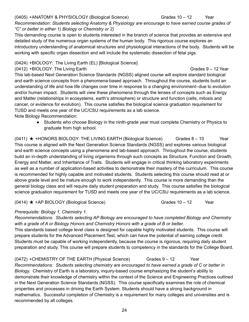## (0405) +ANATOMY & PHYSIOLOGY (Biological Science) Grades 10 – 12 Year

*Recommendation*: *Students selecting Anatomy & Physiology are encourage to have earned course grades of "C" or better in either 1) Biology or Chemistry or 2)*

This demanding course is open to students interested in the branch of science that provides an extensive and detailed study of the numerous organ systems of the human body. This rigorous course explores an introductory understanding of anatomical structures and physiological interactions of the body. Students will be working with specific organ dissection and will include the systematic dissection of fetal pigs.

### (0424) +BIOLOGY: The Living Earth (EL) [Biological Science]

 $(0412)$  +BIOLOGY: The Living Earth Grades 9 – 12 Year

This lab-based Next Generation Science Standards (NGSS) aligned course will explore standard biological and earth science concepts from a phenomena-based approach. Throughout the course, students build an understanding of life and how life changes over time in response to a changing environment--due to evolution and/or human impact. Students will view these phenomena through the lenses of concepts such as Energy and Matter (relationships in ecosystems, earth's atmosphere) or structure and function (cells, mitosis and cancer, or evidence for evolution). This course satisfies the biological science graduation requirement for TUSD and meets one year of the UC/CSU requirements as a lab science.

Note Biology Recommendation:

● Students who choose Biology in the ninth-grade year must complete Chemistry or Physics to graduate from high school.

 $(0411)$   $\star$  +HONORS BIOLOGY: THE LIVING EARTH (Biological Science) Grades 8 – 10 Year This course is aligned with the Next Generation Science Standards (NGSS) and explores various biological and earth science concepts using a phenomena and lab-based approach. Throughout the course, students build an in-depth understanding of living organisms through such concepts as Structure, Function and Growth, Energy and Matter, and Inheritance of Traits. Students will engage in critical thinking laboratory experiments as well as a number of application-based activities to demonstrate their mastery of the curriculum. This course is recommended for highly capable and motivated students. Students selecting this course should read at or above grade level and be mature enough to work independently. This course is more demanding than the general biology class and will require daily student preparation and study. This course satisfies the biological science graduation requirement for TUSD and meets one year of the UC/CSU requirements as a lab science.

 $(0414)$   $\star$  +AP BIOLOGY (Biological Science) Grades 10 – 12 Year

## *Prerequisite: Biology 1, Chemistry 1.*

*Recommendations: Students selecting AP Biology are encouraged to have completed Biology and Chemistry with a grade of A or Biology Honors and Chemistry Honors with a grade of B or better.*

This standards based college level class is designed for capable highly motivated students. This course will prepare students for the Advanced Placement Test, which can have the potential of earning college credit. Students must be capable of working independently, because the course is rigorous, requiring daily student preparation and study. This course will prepare students to competency in the standards for the College Board.

(0472) +CHEMISTRY OF THE EARTH (Physical Science) Grades 9 – 12 Year *Recommendations: Students selecting chemistry are encouraged to have earned a grade of C or better in Biology.* Chemistry of Earth is a laboratory, inquiry-based course emphasizing the student's ability to demonstrate their knowledge of chemistry within the context of the Science and Engineering Practices outlined in the Next Generation Science Standards (NGSS). This course specifically examines the role of chemical properties and processes in driving the Earth System. Students should have a strong background in mathematics. Successful completion of Chemistry is a requirement for many colleges and universities and is recommended by all colleges.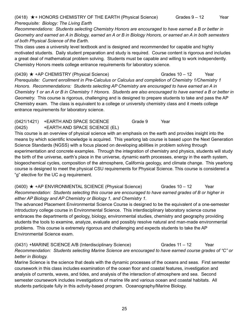### (0418)  $\star$ +HONORS CHEMISTRY OF THE EARTH (Physical Science) Grades 9 – 12 Year *Prerequisite: Biology: The Living Earth*

*Recommendations: Students selecting Chemistry Honors are encouraged to have earned a B or better in* Geometry and earned an A in Biology, earned an A or B in Biology Honors, or earned an A in both semesters *of both Physical Science of the Earth.*

This class uses a university level textbook and is designed and recommended for capable and highly motivated students. Daily student preparation and study is required. Course content is rigorous and includes a great deal of mathematical problem solving. Students must be capable and willing to work independently. Chemistry Honors meets college entrance requirements for laboratory science.

 $(0439)$  ★ +AP CHEMISTRY (Physical Science) Grades 10 – 12 Year *Prerequisite: Current enrollment in Pre-Calculus or Calculus and completion of Chemistry 1/Chemistry 1 Honors. Recommendations: Students selecting AP Chemistry are encouraged to have earned an A in* Chemistry 1 or an A or B in Chemistry 1 Honors. Students are also encouraged to have earned a B or better in *Geometry.* This course is rigorous, challenging and is designed to prepare students to take and pass the AP Chemistry exam. The class is equivalent to a college or university chemistry class and it meets college entrance requirements for laboratory science.

### (0421/1421) +EARTH AND SPACE SCIENCE Grade 9 Year (0425) +EARTH AND SPACE SCIENCE (EL)

This course is an overview of physical science with an emphasis on the earth and provides insight into the means by which scientific knowledge is acquired. This yearlong lab course is based upon the Next Generation Science Standards (NGSS) with a focus placed on developing abilities in problem solving through experimentation and concrete examples. Through the integration of chemistry and physics, students will study the birth of the universe, earth's place in the universe, dynamic earth processes, energy in the earth system, biogeochemical cycles, composition of the atmosphere, California geology, and climate change. This yearlong course is designed to meet the physical CSU requirements for Physical Science. This course is considered a "g" elective for the UC a-g requirement.

 $(0400)$   $\star$  +AP ENVIRONMENTAL SCIENCE (Physical Science) Grades 10 – 12 Year *Recommendation: Students selecting this course are encouraged to have earned grades of B or higher in either AP Biology and AP Chemistry or Biology 1, and Chemistry 1.*

The advanced Placement Environmental Science Course is designed to be the equivalent of a one-semester introductory college course in Environmental Science. This interdisciplinary laboratory science course embraces the departments of geology, biology, environmental studies, chemistry and geography providing students the tools to examine, analyze, evaluate and possibly resolve natural and man-made environmental problems. This course is extremely rigorous and challenging and expects students to take the AP Environmental Science exam.

(0431) +MARINE SCIENCE A/B (Interdisciplinary Science) Grades 11 – 12 Year *Recommendation: Students selecting Marine Science are encouraged to have earned course grades of "C" or better in Biology.*

Marine Science is the science that deals with the dynamic processes of the oceans and seas. First semester coursework in this class includes examination of the ocean floor and coastal features, investigation and analysis of currents, waves, and tides, and analysis of the interaction of atmosphere and sea. Second semester coursework includes investigations of marine life and various ocean and coastal habitats. All students participate fully in this activity-based program. Oceanography/Marine Biology.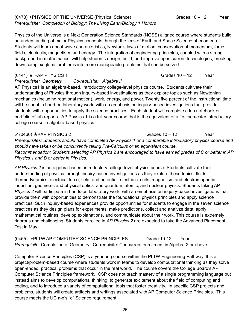Physics of the Universe is a Next Generation Science Standards (NGSS) aligned course where students build an understanding of major Physics concepts through the lens of Earth and Space Science phenomena. Students will learn about wave characteristics, Newton's laws of motion, conservation of momentum, force fields, electricity, magnetism, and energy. The integration of engineering principles, coupled with a strong background in mathematics, will help students design, build, and improve upon current technologies, breaking down complex global problems into more manageable problems that can be solved.

### *Prerequisite: Geometry Co-requisite: Algebra II*

AP Physics1 is an algebra-based, introductory college-level physics course. Students cultivate their understanding of Physics through inquiry-based investigations as they explore topics such as Newtonian mechanics (including rotational motion), work, energy, and power. Twenty five percent of the instructional time will be spent in hand-on laboratory work, with an emphasis on inquiry-based investigations that provide students with opportunities to apply the science practices. Each student will complete a lab notebook or portfolio of lab reports. AP Physics 1 is a full year course that is the equivalent of a first semester introductory college course in algebra-based physics.

### $\checkmark$  (0466)  $\star$  +AP PHYSICS 2 Grades 10 – 12 Year

*Prerequisites: Students should have completed AP Physics 1 or a comparable introductory physics course and should have taken or be concurrently taking Pre-Calculus or an equivalent course.* Recommendation: Students selecting AP Physics 2 are encouraged to have earned grades of C or better in AP *Physics 1 and B or better in Physics.*

*AP Physics 2* is an algebra-based, introductory college-level physics course. Students cultivate their understanding of physics through inquiry-based investigations as they explore these topics: fluids; thermodynamics; electrical force, field, and potential; electric circuits; magnetism and electromagnetic induction; geometric and physical optics; and quantum, atomic, and nuclear physics. Students taking AP *Physics 2* will participate in hands-on laboratory work, with an emphasis on inquiry-based investigations that provide them with opportunities to demonstrate the foundational physics principles and apply science practices. Such inquiry-based experiences provide opportunities for students to engage in the seven science practices as they design plans for experiments, make predictions, collect and analyze data, apply mathematical routines, develop explanations, and communicate about their work. This course is extremely rigorous and challenging. Students enrolled in *AP Physics 2* are expected to take the Advanced Placement Test in May.

(0455) +PLTW AP COMPUTER SCIENCE PRINCIPLES Grade 10-12 Year *Prerequisite*: Completion of Geometry. Co-requisite: Concurrent enrollment in Algebra 2 or above.

Computer Science Principles (CSP) is a yearlong course within the PLTW Engineering Pathway. It is a project/problem-based course where students work in teams to develop computational thinking as they solve open-ended, practical problems that occur in the real world. The course covers the College Board's AP Computer Science Principles framework. CSP does not teach mastery of a single programming language but instead aims to develop computational thinking, to generate excitement about the field of computing and coding, and to introduce a variety of computational tools that foster creativity. In specific CSP projects and problems, students will create artifacts and writings associated with AP Computer Science Principles. This course meets the UC a-g's "d" Science requirement.

 $(0441)$  ★ +AP PHYSICS 1 Grades 10 – 12 Year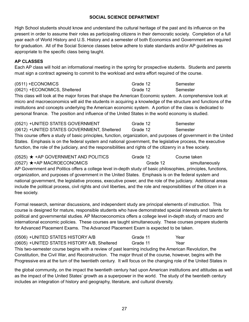### **SOCIAL SCIENCE DEPARTMENT**

High School students should know and understand the cultural heritage of the past and its influence on the present in order to assume their roles as participating citizens in their democratic society. Completion of a full year each of World History and U.S. History and a semester of both Economics and Government are required for graduation. All of the Social Science classes below adhere to state standards and/or AP guidelines as appropriate to the specific class being taught.

### **AP CLASSES**

Each AP class will hold an informational meeting in the spring for prospective students. Students and parents must sign a contract agreeing to commit to the workload and extra effort required of the course.

(0511) +ECONOMICS Grade 12 Semester (0621) +ECONOMICS, Sheltered Grade 12 Semester This class will look at the major forces that shape the American Economic system. A comprehensive look at micro and macroeconomics will aid the students in acquiring a knowledge of the structure and functions of the institutions and concepts underlying the American economic system. A portion of the class is dedicated to personal finance. The position and influence of the United States in the world economy is studied.

(0521) +UNITED STATES GOVERNMENT Grade 12 Semester (0612) +UNITED STATES GOVERNMENT, Sheltered Grade 12 Semester This course offers a study of basic principles, function, organization, and purposes of government in the United States. Emphasis is on the federal system and national government, the legislative process, the executive function, the role of the judiciary, and the responsibilities and rights of the citizenry in a free society.

| $(0525)$ $\star$ +AP GOVERNMENT AND POLITICS                                                                           | Grade 12 | Course taken   |
|------------------------------------------------------------------------------------------------------------------------|----------|----------------|
| $(0527)$ $\star$ +AP MACROECONOMICS                                                                                    | Grade 12 | simultaneously |
| AP Government and Politics offers a college level in-depth study of basic philosophies, principles, functions,         |          |                |
| organization, and purposes of government in the United States. Emphasis is on the federal system and                   |          |                |
| national government, the legislative process, executive power, and the role of the judiciary. Additional areas         |          |                |
| include the political process, civil rights and civil liberties, and the role and responsibilities of the citizen in a |          |                |
| free society.                                                                                                          |          |                |

Formal research, seminar discussions, and independent study are principal elements of instruction. This course is designed for mature, responsible students who have demonstrated special interests and talents for political and governmental studies. AP Macroeconomics offers a college level in-depth study of macro and international economic policies. These courses are taught simultaneously. These courses prepare students for Advanced Placement Exams. The Advanced Placement Exam is expected to be taken.

| (0506) + UNITED STATES HISTORY A/B                                                                               | Grade 11 | Year |  |
|------------------------------------------------------------------------------------------------------------------|----------|------|--|
| (0605) + UNITED STATES HISTORY A/B, Sheltered                                                                    | Grade 11 | Year |  |
| This two-semester course begins with a review of past learning including the American Revolution, the            |          |      |  |
| Constitution, the Civil War, and Reconstruction. The major thrust of the course, however, begins with the        |          |      |  |
| Progressive era at the turn of the twentieth century. It will focus on the changing role of the United States in |          |      |  |

the global community, on the impact the twentieth century had upon American institutions and attitudes as well as the impact of the United States' growth as a superpower in the world. The study of the twentieth century includes an integration of history and geography, literature, and cultural diversity.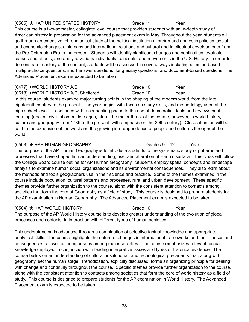### $(0505)$  ★ +AP UNITED STATES HISTORY Grade 11 Year

This course is a two-semester, collegiate level course that provides students with an in-depth study of American history in preparation for the advanced placement exam in May. Throughout the year, students will go through an extensive, chronological study of the political institutions, foreign and domestic policies, social and economic changes, diplomacy and international relations and cultural and intellectual developments from the Pre-Columbian Era to the present. Students will identify significant changes and continuities, evaluate causes and effects, and analyze various individuals, concepts, and movements in the U S. History. In order to demonstrate mastery of the content, students will be assessed in several ways including stimulus-based multiple-choice questions, short answer questions, long essay questions, and document-based questions. The Advanced Placement exam is expected to be taken.

### (0477) +WORLD HISTORY A/B Grade 10 Year

(0618) +WORLD HISTORY A/B, Sheltered Grade 10 Year

In this course, students examine major turning points in the shaping of the modern world, from the late eighteenth century to the present. The year begins with focus on study skills, and methodology used at the high school level. It continues with a connecting phase to the rise of democratic ideals and reviews past learning (ancient civilization, middle ages, etc.) The major thrust of the course, however, is world history, culture and geography from 1789 to the present (with emphasis on the 20th century). Close attention will be paid to the expansion of the west and the growing interdependence of people and cultures throughout the world.

### (0503) ★ +AP HUMAN GEOGRAPHY Grades 9 – 12 Year

The purpose of the AP Human Geography is to introduce students to the systematic study of patterns and processes that have shaped human understanding, use, and alteration of Earth's surface. This class will follow the College Board course outline for AP Human Geography. Students employ spatial concepts and landscape analysis to examine human social organizations and its environmental consequences. They also learn about the methods and tools geographers use in their science and practice. Some of the themes examined in the course include population, cultural patterns and processes, rural and urban development. These specific themes provide further organization to the course, along with the consistent attention to contacts among societies that form the core of Geography as a field of study. This course is designed to prepare students for the AP examination in Human Geography. The Advanced Placement exam is expected to be taken.

### $(0504)$   $\star$  +AP WORLD HISTORY Grade 10 Year

The purpose of the AP World History course is to develop greater understanding of the evolution of global processes and contacts, in interaction with different types of human societies.

This understanding is advanced through a combination of selective factual knowledge and appropriate analytical skills. The course highlights the nature of changes in international frameworks and their causes and consequences, as well as comparisons among major societies. The course emphasizes relevant factual knowledge deployed in conjunction with leading interpretive issues and types of historical evidence. The course builds on an understanding of cultural, institutional, and technological precedents that, along with geography, set the human stage. Periodization, explicitly discussed, forms an organizing principle for dealing with change and continuity throughout the course. Specific themes provide further organization to the course, along with the consistent attention to contacts among societies that form the core of world history as a field of study. This course is designed to prepare students for the AP examination in World History. The Advanced Placement exam is expected to be taken.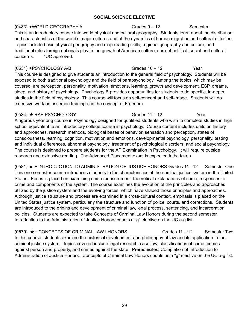### **SOCIAL SCIENCE ELECTIVE**

(0483) +WORLD GEOGRAPHY A Grades 9 – 12 Semester This is an introductory course into world physical and cultural geography. Students learn about the distribution and characteristics of the world's major cultures and of the dynamics of human migration and cultural diffusion. Topics include basic physical geography and map-reading skills, regional geography and culture, and traditional roles foreign nationals play in the growth of American culture, current political, social and cultural concerns. \*UC approved.

(0531) +PSYCHOLOGY A/B Grades 10 – 12 Year This course is designed to give students an introduction to the general field of psychology. Students will be exposed to both traditional psychology and the field of parapsychology. Among the topics, which may be covered, are perception, personality, motivation, emotions, learning, growth and development, ESP, dreams, sleep, and history of psychology. Psychology B provides opportunities for students to do specific, in-depth studies in the field of psychology. This course will focus on self-concept and self-image. Students will do extensive work on assertion training and the concept of Freedom.

 $(0534)$   $\star$  +AP PSYCHOLOGY Grades 11 – 12 Year A rigorous yearlong course in Psychology designed for qualified students who wish to complete studies in high school equivalent to an introductory college course in psychology. Course content includes units on history and approaches, research methods, biological bases of behavior, sensation and perception, states of consciousness, learning, cognition, motivation and emotions, developmental psychology, personality, testing and individual differences, abnormal psychology, treatment of psychological disorders, and social psychology. The course is designed to prepare students for the AP Examination in Psychology. It will require outside research and extensive reading. The Advanced Placement exam is expected to be taken.

 $(0581)$   $\star$  + INTRODUCTION TO ADMINISTRATION OF JUSTICE HONORS Grades 11 - 12 Semester One This one semester course introduces students to the characteristics of the criminal justice system in the United States. Focus is placed on examining crime measurement, theoretical explanations of crime, responses to crime and components of the system. The course examines the evolution of the principles and approaches utilized by the justice system and the evolving forces, which have shaped those principles and approaches. Although justice structure and process are examined in a cross-cultural context, emphasis is placed on the United States justice system, particularly the structure and function of police, courts, and corrections. Students are introduced to the origins and development of criminal law, legal process, sentencing, and incarceration policies. Students are expected to take Concepts of Criminal Law Honors during the second semester. Introduction to the Administration of Justice Honors counts a "g" elective on the UC a-g list.

 $(0579)$   $\star$  + CONCEPTS OF CRIMINAL LAW I HONORS Grades 11 – 12 Semester Two In this course, students examine the historical development and philosophy of law and its application to the criminal justice system. Topics covered include legal research, case law, classifications of crime, crimes against person and property, and crimes against the state. Prerequisites: Completion of Introduction to Administration of Justice Honors. Concepts of Criminal Law Honors counts as a "g" elective on the UC a-g list.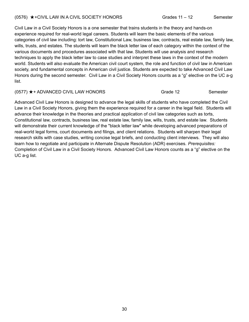### (0576) ★+CIVIL LAW IN A CIVIL SOCIETY HONORS Grades 11 – 12 Semester

Civil Law in a Civil Society Honors is a one semester that trains students in the theory and hands-on experience required for real-world legal careers. Students will learn the basic elements of the various categories of civil law including: tort law, Constitutional Law, business law, contracts, real estate law, family law, wills, trusts, and estates. The students will learn the black letter law of each category within the context of the various documents and procedures associated with that law. Students will use analysis and research techniques to apply the black letter law to case studies and interpret these laws in the context of the modern world. Students will also evaluate the American civil court system, the role and function of civil law in American society, and fundamental concepts in American civil justice. Students are expected to take Advanced Civil Law Honors during the second semester. Civil Law in a Civil Society Honors counts as a "g" elective on the UC a-g list.

### $(0577)$   $\star$  + ADVANCED CIVIL LAW HONORS Grade 12 Semester

Advanced Civil Law Honors is designed to advance the legal skills of students who have completed the Civil Law in a Civil Society Honors, giving them the experience required for a career in the legal field. Students will advance their knowledge in the theories and practical application of civil law categories such as torts, Constitutional law, contracts, business law, real estate law, family law, wills, trusts, and estate law. Students will demonstrate their current knowledge of the "black letter law" while developing advanced preparations of real-world legal forms, court documents and filings, and client relations. Students will sharpen their legal research skills with case studies, writing concise legal briefs, and conducting client interviews. They will also learn how to negotiate and participate in Alternate Dispute Resolution (ADR) exercises. *Prerequisites:* Completion of Civil Law in a Civil Society Honors. Advanced Civil Law Honors counts as a "g" elective on the UC a-g list.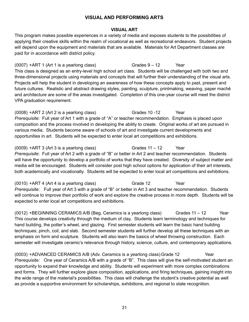### **VISUAL AND PERFORMING ARTS**

### **VISUAL ART**

This program makes possible experiences in a variety of media and exposes students to the possibilities of applying their creative skills within the realm of vocational as well as recreational endeavors. Student projects will depend upon the equipment and materials that are available. Materials for Art Department classes are paid for in accordance with district policy.

 $(0007)$  +ART 1 (Art 1 is a yearlong class) Grades  $9 - 12$  Year This class is designed as an entry-level high school art class. Students will be challenged with both two and three-dimensional projects using materials and concepts that will further their understanding of the visual arts. Projects will help the student in developing an awareness of how these concepts apply to past, present and future cultures. Realistic and abstract drawing styles, painting, sculpture, printmaking, weaving, paper machẻ and architecture are some of the areas investigated. Completion of this one-year course will meet the district VPA graduation requirement.

(0008) +ART 2 (Art 2 is a yearlong class) Grades 10 -12 Year *Prerequisite*: Full year of Art 1 with a grade of "A" or teacher recommendation. Emphasis is placed upon composition and the process involved in developing the ability to create. Original works of art are pursued in various media. Students become aware of schools of art and investigate current developments and opportunities in art. Students will be expected to enter local art competitions and exhibitions.

 $(0009)$  +ART 3 (Art 3 is a yearlong class) Grades  $11 - 12$  Year *Prerequisite*: Full year of Art 2 with a grade of "B" or better in Art 2 and teacher recommendation. Students will have the opportunity to develop a portfolio of works that they have created. Diversity of subject matter and media will be encouraged. Students will consider post high school options for application of their art interests, both academically and vocationally. Students will be expected to enter local art competitions and exhibitions.

(0010) +ART 4 (Art 4 is a yearlong class) Grade 12 Year *Prerequisite*: Full year of Art 3 with a grade of "B" or better in Art 3 and teacher recommendation. Students will continue to improve their portfolio of work and explore the creative process in more depth. Students will be expected to enter local art competitions and exhibitions.

(0012) +BEGINNING CERAMICS A/B (Beg. Ceramics is a yearlong class) Grades 11 – 12 Year This course develops creativity through the medium of clay. Students learn terminology and techniques for hand building, the potter's wheel, and glazing. First semester students will learn the basic hand building techniques; pinch, coil, and slab. Second semester students will further develop all these techniques with an emphasis on form and sculpture. Students will also learn the basics of wheel throwing construction. Each semester will investigate ceramic's relevance through history, science, culture, and contemporary applications.

(0003) +ADVANCED CERAMICS A/B (Adv. Ceramics is a yearlong class)Grade 12 Year *Prerequisite:* One year of Ceramics A/B with a grade of "B". This class will give the self-motivated student an opportunity to expand their knowledge and ability. Students will experiment with more complex combinations and forms. They will further explore glaze composition, applications, and firing techniques, gaining insight into the wide range of the material's possibilities. This class will challenge the student's creative potential as well as provide a supportive environment for scholarships, exhibitions, and regional to state recognition.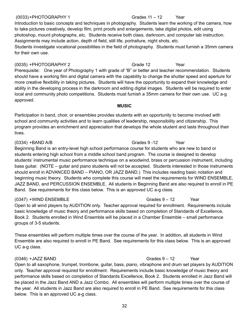### (0033)+PHOTOGRAPHY 1 Grades 11 – 12 Year

### Introduction to basic concepts and techniques in photography. Students learn the working of the camera, how to take pictures creatively, develop film, print proofs and enlargements, take digital photos, edit using photoshop, mount photographs, etc. Students receive both class, darkroom, and computer lab instruction. Assignments may include action, depth of field, still life, portraiture, night shots, etc. Students investigate vocational possibilities in the field of photography. Students must furnish a 35mm camera for their own use.

(0035) +PHOTOGRAPHY 2 Grade 12 Year Prerequisite: One year of Photography 1 with grade of "B" or better and teacher recommendation. Students should have a working film and digital camera with the capability to change the shutter speed and aperture for more creative flexibility in taking pictures. Students will have the opportunity to expand their knowledge and ability in the developing process in the darkroom and editing digital images. Students will be required to enter local and community photo competitions. Students must furnish a 35mm camera for their own use. UC a-g approved.

### **MUSIC**

Participation in band, choir, or ensembles provides students with an opportunity to become involved with school and community activities and to learn qualities of leadership, responsibility and citizenship. This program provides an enrichment and appreciation that develops the whole student and lasts throughout their lives.

### (0334) +BAND A/B Grades 9 -12 Year Beginning Band is an entry-level high school performance course for students who are new to band or students entering high school from a middle school band program. The course is designed to develop students' instrumental music performance technique on a woodwind, brass or percussion instrument, including bass guitar. (NOTE – guitar and piano students will not be accepted. Students interested in those instruments should enroll in ADVANCED BAND – PIANO, OR JAZZ BAND.) This includes reading basic notation and beginning music theory. Students who complete this course will meet the requirements for WIND ENSEMBLE, JAZZ BAND, and PERCUSSION ENSEMBLE. All students in Beginning Band are also required to enroll in PE Band. See requirements for this class below. This is an approved UC a-g class.

### (0347) +WIND ENSEMBLE Grades 9 – 12 Year

Open to all wind players by AUDITION only. Teacher approval required for enrollment. Requirements include basic knowledge of music theory and performance skills based on completion of Standards of Excellence, Book 2. Students enrolled in Wind Ensemble will be placed in a Chamber Ensemble – small performance groups of 3-5 students.

These ensembles will perform multiple times over the course of the year. In addition, all students in Wind Ensemble are also required to enroll in PE Band. See requirements for this class below. This is an approved UC a-g class.

### (0346) +JAZZ BAND Grades 9 – 12 Year

## Open to all saxophone, trumpet, trombone, guitar, bass, piano, vibraphone and drum set players by AUDITION only. Teacher approval required for enrollment. Requirements include basic knowledge of music theory and performance skills based on completion of Standards Excellence, Book 2. Students enrolled in Jazz Band will be placed in the Jazz Band AND a Jazz Combo. All ensembles will perform multiple times over the course of the year. All students in Jazz Band are also required to enroll in PE Band. See requirements for this class below. This is an approved UC a-g class.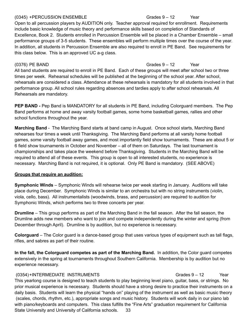### (0345) +PERCUSSION ENSEMBLE Grades 9 – 12 Year

Open to all percussion players by AUDITION only. Teacher approval required for enrollment. Requirements include basic knowledge of music theory and performance skills based on completion of Standards of Excellence, Book 2. Students enrolled in Percussion Ensemble will be placed in a Chamber Ensemble – small performance groups of 3-5 students. These ensembles will perform multiple times over the course of the year. In addition, all students in Percussion Ensemble are also required to enroll in PE Band. See requirements for this class below. This is an approved UC a-g class.

All band students are required to enroll in PE Band. Each of these groups will meet after school two or three times per week. Rehearsal schedules will be published at the beginning of the school year. After school, rehearsals are considered a class. Attendance at these rehearsals is mandatory for all students involved in that performance group. All school rules regarding absences and tardies apply to after school rehearsals. All Rehearsals are mandatory.

**PEP BAND -** Pep Band is MANDATORY for all students in PE Band, including Colorguard members. The Pep Band performs at home and away varsity football games, some home basketball games, rallies and other school functions throughout the year.

**Marching Band** - The Marching Band starts at band camp in August. Once school starts, Marching Band rehearses four times a week until Thanksgiving. The Marching Band performs at all varsity home football games, some varsity football away games, and most importantly field show tournaments. These are about 5 or 6 field show tournaments in October and November – all of them on Saturdays. The last tournament is championships and takes place the weekend before Thanksgiving. Students in the Marching Band will be required to attend all of these events. This group is open to all interested students, no experience is necessary. Marching Band is not required, it is optional. Only PE Band is mandatory. (SEE ABOVE)

### **Groups that require an audition:**

**Symphonic Winds** – Symphonic Winds will rehearse twice per week starting in January. Auditions will take place during December. Symphonic Winds is similar to an orchestra but with no string instruments (violin, viola, cello, bass). All instrumentalists (woodwinds, brass, and percussion) are required to audition for Symphonic Winds, which performs two to three concerts per year.

**Drumline** – This group performs as part of the Marching Band in the fall season. After the fall season, the Drumline adds new members who want to join and compete independently during the winter and spring (from December through April). Drumline is by audition, but no experience is necessary.

**Colorguard** – The Color guard is a dance-based group that uses various types of equipment such as tall flags, rifles, and sabres as part of their routine.

**In the fall, the Colorguard competes as part of the Marching Band.** In addition, the Color guard competes extensively in the spring at tournaments throughout Southern California. Membership is by audition but no experience necessary.

(0354)+INTERMEDIATE INSTRUMENTS Grades 9 – 12 Year This yearlong course is designed to teach students to play beginning level piano, guitar, bass, or strings. No prior musical experience is necessary. Students should have a strong desire to practice their instruments on a daily basis. Students will learn the physical "hands on" playing of the instrument as well as basic music theory (scales, chords, rhythm, etc.), appropriate songs and music history. Students will work daily in our piano lab with piano/keyboards and computers. This class fulfills the "Fine Arts" graduation requirement for California State University and University of California schools. 33

(0376) PE BAND Grades 9 – 12 Year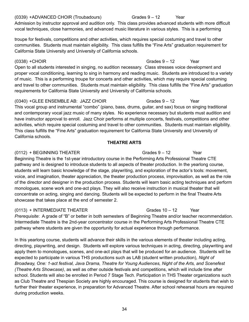### (0339) +ADVANCED CHOIR (Troubadours) Grades 9 – 12 Year Admission by instructor approval and audition only. This class provides advanced students with more difficult vocal techniques, close harmonies, and advanced music literature in various styles. This is a performing

troupe for festivals, competitions and other activities, which requires special costuming and travel to other communities. Students must maintain eligibility. This class fulfills the "Fine Arts" graduation requirement for California State University and University of California schools.

Open to all students interested in singing, no audition necessary. Class stresses voice development and proper vocal conditioning, learning to sing in harmony and reading music. Students are introduced to a variety of music. This is a performing troupe for concerts and other activities, which may require special costuming and travel to other communities. Students must maintain eligibility. This class fulfills the "Fine Arts" graduation requirements for California State University and University of California schools.

# (0340) +GLEE ENSEMBLE AB: JAZZ CHOIR Grades 9 – 12 Year

This vocal group and instrumental "combo" (piano, bass, drums, guitar, and sax) focus on singing traditional and contemporary vocal jazz music of many styles. No experience necessary but students must audition and have instructor approval to enroll. Jazz Choir performs at multiple concerts, festivals, competitions and other activities, which require special costuming and travel to other communities. Students must maintain eligibility. This class fulfills the "Fine Arts" graduation requirement for California State University and University of California schools.

# **THEATRE ARTS**

# (0112) + BEGINNING THEATER Grades 9 – 12 Year

Beginning Theatre is the 1st-year introductory course in the Performing Arts Professional Theatre CTE pathway and is designed to introduce students to all aspects of theater production. In the yearlong course, students will learn basic knowledge of the stage, playwriting, and exploration of the actor's tools: movement, voice, and imagination, theater appreciation, the theater production process, improvisation, as well as the role of the director and designer in the production process. Students will learn basic acting techniques and perform monologues, scene work and one-act plays. They will also receive instruction in musical theater that will concentrate on acting, singing and dancing. Students will be expected to perform in the final Theatre Arts showcase that takes place at the end of semester 2.

# (0113) + INTERMEDIATE THEATER Grades 10 – 12 Year

*Prerequisite*: A grade of "B" or better in both semesters of Beginning Theatre and/or teacher recommendation. Intermediate Theatre is the 2nd-year concentrator course in the Performing Arts Professional Theatre CTE pathway where students are given the opportunity for actual experience through performance.

In this yearlong course, students will advance their skills in the various elements of theater including acting, directing, playwriting, and design. Students will explore various techniques in acting, directing, playwriting and apply them to monologues, scenes, and one-act plays that will be produced for an audience. Students will be expected to participate in various THS productions such as LAB (student written production), *Night of Broadway, One: 1-act festival, Java Drama, Theatre for Young Audiences, Night of the Arts, and Scenefest (Theatre Arts Showcase)*, as well as other outside festivals and competitions, which will include time after school. Students will also be enrolled in Period 7 Stage Tech. Participation in THS Theater organizations such as Club Theatre and Thespian Society are highly encouraged. This course is designed for students that wish to further their theater experience, in preparation for Advanced Theatre. After school rehearsal hours are required during production weeks.

# (0338) +CHOIR Grades 9 – 12 Year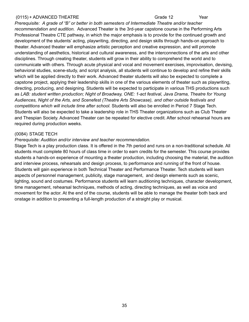### (0115) + ADVANCED THEATRE TREAT Grade 12 The State of the Grade 12

*Prerequisite: A grade of "B" or better in both semesters of Intermediate Theatre and/or teacher recommendation and audition.* Advanced Theater is the 3rd-year capstone course in the Performing Arts Professional Theatre CTE pathway, in which the major emphasis is to provide for the continued growth and development of the students' acting, playwriting, directing, and design skills through hands-on approach to theater. Advanced theater will emphasize artistic perception and creative expression, and will promote understanding of aesthetics, historical and cultural awareness, and the interconnections of the arts and other disciplines. Through creating theater, students will grow in their ability to comprehend the world and to communicate with others. Through acute physical and vocal and movement exercises, improvisation, devising, behavioral studies, scene-study, and script analysis, all students will continue to develop and refine their skills which will be applied directly to their work. Advanced theater students will also be expected to complete a capstone project, applying their leadership skills in one of the various elements of theater such as playwriting, directing, producing, and designing. Students will be expected to participate in various THS productions such as *LAB: student written production; Night of Broadway, ONE: 1-act festival, Java Drama, Theatre for Young Audiences, Night of the Arts, and Scenefest (Theatre Arts Showcase), and other outside festivals and competitions which will include time after school.* Students will also be enrolled in Period 7 Stage Tech. Students will also be expected to take a leadership role in THS Theater organizations such as Club Theater and Thespian Society. Advanced Theater can be repeated for elective credit. After school rehearsal hours are required during production weeks.

### (0084) STAGE TECH

### *Prerequisite: Audition and/or interview and teacher recommendation.*

Stage Tech is a play production class. It is offered in the 7th period and runs on a non-traditional schedule. All students must complete 80 hours of class time in order to earn credits for the semester. This course provides students a hands-on experience of mounting a theater production, including choosing the material, the audition and interview process, rehearsals and design process, to performance and running of the front of house. Students will gain experience in both Technical Theater and Performance Theater. Tech students will learn aspects of personnel management, publicity, stage management, and design elements such as scenic, lighting, sound and costumes. Performance students will learn auditioning techniques, character development, time management, rehearsal techniques, methods of acting, directing techniques, as well as voice and movement for the actor. At the end of the course, students will be able to manage the theater both back and onstage in addition to presenting a full-length production of a straight play or musical.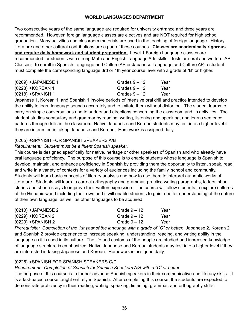### **WORLD LANGUAGES DEPARTMENT**

Two consecutive years of the same language are required for university entrance and three years are recommended. However, foreign language classes are electives and are NOT required for high school graduation. Many activities and classroom materials are used in the teaching of foreign language. History, literature and other cultural contributions are a part of these courses. **Classes are academically rigorous and require daily homework and student preparation.** Level 1 Foreign Language classes are recommended for students with strong Math and English Language Arts skills. Tests are oral and written. AP Classes: To enroll in Spanish Language and Culture AP or Japanese Language and Culture AP, a student must complete the corresponding language 3rd or 4th year course level with a grade of "B" or higher.

| (0209) +JAPANESE 1 | Grades $9-12$ | Year |
|--------------------|---------------|------|
| (0228) +KOREAN 1   | Grades $9-12$ | Year |
| (0218) +SPANISH 1  | Grades $9-12$ | Year |

Japanese 1, Korean 1, and Spanish 1 involve periods of intensive oral drill and practice intended to develop the ability to learn language sounds accurately and to imitate them without distortion. The student learns to carry on simple conversations and to understand directions concerning the classroom and its activities. The student studies vocabulary and grammar by reading, writing, listening and speaking, and learns sentence patterns through drills in the classroom. Native Japanese and Korean students may test into a higher level if they are interested in taking Japanese and Korean. Homework is assigned daily.

### (0205) +SPANISH FOR SPANISH SPEAKERS A/B

### *Requirement: Student must be a fluent Spanish speaker.*

This course is designed specifically for native, heritage or other speakers of Spanish and who already have oral language proficiency. The purpose of this course is to enable students whose language is Spanish to develop, maintain, and enhance proficiency in Spanish by providing them the opportunity to listen, speak, read and write in a variety of contexts for a variety of audiences including the family, school and community. Students will learn basic concepts of literary analysis and how to use them to interpret authentic works of literature. Students will learn to correct orthography and grammar, practice writing paragraphs, letters, short stories and short essays to improve their written expression. The course will allow students to explore cultures of the Hispanic world including their own and it will enable students to gain a better understanding of the nature of their own language, as well as other languages to be acquired.

| $(0210)$ +JAPANESE 2 | Grade $9-12$ | Year |
|----------------------|--------------|------|
| (0229) +KOREAN 2     | Grade $9-12$ | Year |
| $(0220)$ +SPANISH 2  | Grade $9-12$ | Year |

*Prerequisite: Completion of the 1st year of the language with a grade of "C" or better.* Japanese 2, Korean 2 and Spanish 2 provide experience to increase speaking, understanding, reading, and writing ability in the language as it is used in its culture. The life and customs of the people are studied and increased knowledge of language structure is emphasized. Native Japanese and Korean students may test into a higher level if they are interested in taking Japanese and Korean. Homework is assigned daily.

### (0225) +SPANISH FOR SPANISH SPEAKERS C/D

*Requirement: Completion of Spanish for Spanish Speakers A/B with a "C" or better.*

The purpose of this course is to further advance Spanish speakers in their communicative and literacy skills. It is a fast-paced course taught entirely in Spanish. After completing this course, the students are expected to demonstrate proficiency in their reading, writing, speaking, listening, grammar, and orthography skills.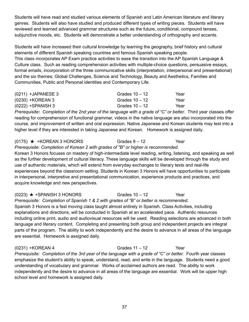Students will have read and studied various elements of Spanish and Latin American literature and literary genres. Students will also have studied and produced different types of writing pieces. Students will have reviewed and learned advanced grammar structures such as the future, conditional, compound tenses, subjunctive moods, etc. Students will demonstrate a better understanding of orthography and accents.

Students will have increased their cultural knowledge by learning the geography, brief history and cultural elements of different Spanish speaking countries and famous Spanish speaking people. This class incorporates AP Exam practice activities to ease the transition into the AP Spanish Language & Culture class. Such as reading comprehension activities with multiple-choice questions, persuasive essays, formal emails, incorporation of the three communicative skills (interpretation, interpersonal and presentational) and the six themes; Global Challenges, Science and Technology, Beauty and Aesthetics, Families and Communities, Public and Personal identities and Contemporary Life.

| $(0211)$ +JAPANESE 3 | Grades $10 - 12$ | Year |
|----------------------|------------------|------|
| (0230) +KOREAN 3     | Grades $10 - 12$ | Year |
| (0222) +SPANISH 3    | Grades $10 - 12$ | Year |

Prerequisite: Completion of the 2nd year of the language with a grade of "C" or better. Third year classes offer reading for comprehension of functional grammar, videos in the native language are also incorporated into the course, and improvement of written and oral expression. Native Japanese and Korean students may test into a higher level if they are interested in taking Japanese and Korean. Homework is assigned daily.

# $(0175)$  ★ +KOREAN 3 HONORS Grades  $9 - 12$  Year

*Prerequisite*: *Completion of Korean 2 with grades of "B" or higher is recommended*.

Korean 3 Honors focuses on mastery of high-intermediate level reading, writing, listening, and speaking as well as the further development of cultural literacy. These language skills will be developed through the study and use of authentic materials, which will extend from everyday exchanges to literary texts and real-life experiences beyond the classroom setting. Students in Korean 3 Honors will have opportunities to participate in interpersonal, interpretive and presentational communication, experience products and practices, and acquire knowledge and new perspectives.

 $(0223)$  ★ +SPANISH 3 HONORS Grades 10 – 12 Year *Prerequisite: Completion of Spanish 1 & 2 with grades of "B" or better is recommended.* Spanish 3 Honors is a fast moving class taught almost entirely in Spanish. Class Activities, including explanations and directions, will be conducted in Spanish at an accelerated pace. Authentic resources including online print, audio and audiovisual resources will be used. Reading selections are advanced in both language and literary content. Completing and presenting both group and independent projects are integral parts of the program. The ability to work independently and the desire to advance in all areas of the language are essential. Homework is assigned daily.

(0231) +KOREAN 4 Grades 11 – 12 Year *Prerequisite: Completion of the 3rd year of the language with a grade of "C" or better.* Fourth year classes emphasize the student's ability to speak, understand, read, and write in the language. Students need a good understanding of vocabulary and grammar. Works of acclaimed authors are read. The ability to work independently and the desire to advance in all areas of the language are essential. Work will be upper high school level and homework is assigned daily.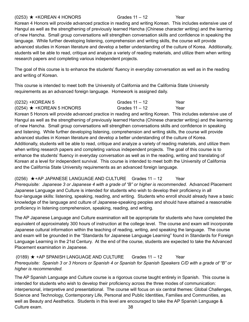### $(0253)$  ★ +KOREAN 4 HONORS Grades 11 – 12 Year

Korean 4 Honors will provide advanced practice in reading and writing Korean. This includes extensive use of Hangul as well as the strengthening of previously learned Hancha (Chinese character writing) and the learning of new Hancha. Small group conversations will strengthen conversation skills and confidence in speaking the language. While further developing listening, comprehension and writing skills, the course will provide advanced studies in Korean literature and develop a better understanding of the culture of Korea. Additionally, students will be able to read, critique and analyze a variety of reading materials, and utilize them when writing research papers and completing various independent projects.

The goal of this course is to enhance the students' fluency in everyday conversation as well as in the reading and writing of Korean.

This course is intended to meet both the University of California and the California State University requirements as an advanced foreign language. Homework is assigned daily.

| (0232) +KOREAN 5                  | Grades 11 – 12 | Year |
|-----------------------------------|----------------|------|
| $(0254)$ $\star$ +KOREAN 5 HONORS | Grades 11 – 12 | Year |

Korean 5 Honors will provide advanced practice in reading and writing Korean. This includes extensive use of Hangul as well as the strengthening of previously learned Hancha (Chinese character writing) and the learning of new Hancha. Small group conversations will strengthen conversations skills and confidence in speaking and listening. While further developing listening, comprehension and writing skills, the course will provide advanced studies in Korean literature and develop a better understanding of the culture of Korea. Additionally, students will be able to read, critique and analyze a variety of reading materials, and utilize them when writing research papers and completing various independent projects. The goal of this course is to enhance the students' fluency in everyday conversation as well as in the reading, writing and translating of Korean at a level for independent survival. This course is intended to meet both the University of California and the California State University requirements as an advanced foreign language.

(0256) ★+AP JAPANESE LANGUAGE AND CULTURE Grades 11 – 12 Year *Prerequisite: Japanese 3 or Japanese 4 with a grade of "B" or higher is recommended.* Advanced Placement Japanese Language and Culture is intended for students who wish to develop their proficiency in all four-language skills: listening, speaking, reading, and writing. Students who enroll should already have a basic knowledge of the language and culture of Japanese-speaking peoples and should have attained a reasonable proficiency in listening comprehension, speaking, reading, and writing.

The AP Japanese Language and Culture examination will be appropriate for students who have completed the equivalent of approximately 300 hours of instruction at the college level. The course and exam will incorporate Japanese cultural information within the teaching of reading, writing, and speaking the language. The course and exam will be grounded in the "Standards for Japanese Language Learning" found in Standards for Foreign Language Learning in the 21st Century. At the end of the course, students are expected to take the Advanced Placement examination in Japanese.

### (0189) ★ +AP SPANISH LANGUAGE AND CULTURE Grades 11 – 12 Year Prerequisite: Spanish 3 or 3 Honors or Spanish 4 or Spanish for Spanish Speakers C/D with a grade of "B" or *higher is recommended.*

The AP Spanish Language and Culture course is a rigorous course taught entirely in Spanish. This course is intended for students who wish to develop their proficiency across the three modes of communication: interpersonal, interpretive and presentational. The course will focus on six central themes: Global Challenges, Science and Technology, Contemporary Life, Personal and Public Identities, Families and Communities, as well as Beauty and Aesthetics. Students in this level are encouraged to take the AP Spanish Language & Culture exam. 38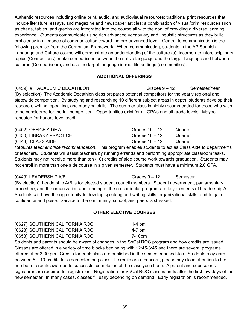Authentic resources including online print, audio, and audiovisual resources; traditional print resources that include literature, essays, and magazine and newspaper articles; a combination of visual/print resources such as charts, tables, and graphs are integrated into the course all with the goal of providing a diverse learning experience. Students communicate using rich advanced vocabulary and linguistic structures as they build proficiency in all modes of communication toward the pre-advanced level. Central to communication is the following premise from the Curriculum Framework: When communicating, students in the AP Spanish Language and Culture course will demonstrate an understanding of the culture (s), incorporate interdisciplinary topics (Connections), make comparisons between the native language and the target language and between cultures (Comparisons), and use the target language in real-life settings (communities).

### **ADDITIONAL OFFERINGS**

 $(0459)$   $\star$  +ACADEMIC DECATHLON Grades  $9 - 12$  Semester/Year (By selection) The Academic Decathlon class prepares potential competitors for the yearly regional and statewide competition. By studying and researching 10 different subject areas in depth, students develop their research, writing, speaking, and studying skills. The summer class is highly recommended for those who wish to be considered for the fall competition. Opportunities exist for all GPA's and all grade levels. Maybe repeated for honors-level credit.

| (0452) OFFICE AIDE A    | Grades $10 - 12$ | Quarter |
|-------------------------|------------------|---------|
| (0450) LIBRARY PRACTICE | Grades 10 – 12   | Quarter |
| (0448) CLASS AIDE       | Grades 10 – 12   | Quarter |

*Requires teacher/office recommendation*. This program enables students to act as Class Aide to departments or teachers. Students will assist teachers by running errands and performing appropriate classroom tasks. Students may not receive more than ten (10) credits of aide course work towards graduation. Students may not enroll in more than one aide course in a given semester. Students must have a minimum 2.0 GPA.

(0449) LEADERSHIP A/B Grades 9 – 12 Semester (By election) Leadership A/B is for elected student council members. Student government, parliamentary procedure, and the organization and running of the co-curricular program are key elements of Leadership A. Students will have the opportunity to develop speaking and writing skills, organizational skills, and to gain confidence and poise. Service to the community, school, and peers is stressed.

### **OTHER ELECTIVE COURSES**

| (0627) SOUTHERN CALIFORNIA ROC | $1-4$ pm |
|--------------------------------|----------|
| (0628) SOUTHERN CALIFORNIA ROC | $4-7$ pm |
| (0653) SOUTHERN CALIFORNIA ROC | 7-10pm   |

Students and parents should be aware of changes in the SoCal ROC program and how credits are issued. Classes are offered in a variety of time blocks beginning with 12:45-3:45 and there are several programs offered after 3:00 pm. Credits for each class are published in the semester schedules. Students may earn between 5 – 10 credits for a semester long class. If credits are a concern, please pay close attention to the number of credits awarded to successful completion of the class you chose. A parent and counselor's signatures are required for registration. Registration for SoCal ROC classes ends after the first few days of the new semester. In many cases, classes fill early depending on demand. Early registration is recommended.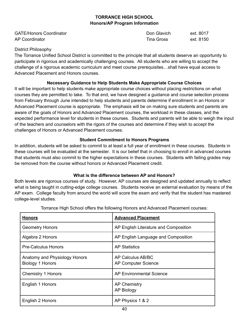### **TORRANCE HIGH SCHOOL Honors/AP Program Information**

| <b>GATE/Honors Coordinator</b> | Don Glavich | ext. 8017 |
|--------------------------------|-------------|-----------|
| AP Coordinator                 | Tina Gross  | ext. 8150 |

### District Philosophy

The Torrance Unified School District is committed to the principle that all students deserve an opportunity to participate in rigorous and academically challenging courses. All students who are willing to accept the challenge of a rigorous academic curriculum and meet course prerequisites…shall have equal access to Advanced Placement and Honors courses.

### **Necessary Guidance to Help Students Make Appropriate Course Choices**

It will be important to help students make appropriate course choices without placing restrictions on what courses they are permitted to take. To that end, we have designed a guidance and course selection process from February through June intended to help students and parents determine if enrollment in an Honors or Advanced Placement course is appropriate. The emphasis will be on making sure students and parents are aware of the goals of Honors and Advanced Placement courses, the workload in these classes, and the expected performance level for students in these courses. Students and parents will be able to weigh the input of the teachers and counselors with the rigors of the courses and determine if they wish to accept the challenges of Honors or Advanced Placement courses.

### **Student Commitment to Honors Programs**

In addition, students will be asked to commit to at least a full year of enrollment in these courses. Students in these courses will be evaluated at the semester. It is our belief that in choosing to enroll in advanced courses that students must also commit to the higher expectations in these courses. Students with failing grades may be removed from the course without honors or Advanced Placement credit.

### **What is the difference between AP and Honors?**

Both levels are rigorous courses of study. However, AP courses are designed and updated annually to reflect what is being taught in cutting-edge college courses. Students receive an external evaluation by means of the AP exam. College faculty from around the world will score the exam and verify that the student has mastered college-level studies.

| <b>Honors</b>                                     | <b>Advanced Placement</b>                              |
|---------------------------------------------------|--------------------------------------------------------|
| <b>Geometry Honors</b>                            | AP English Literature and Composition                  |
| Algebra 2 Honors                                  | AP English Language and Composition                    |
| <b>Pre-Calculus Honors</b>                        | <b>AP Statistics</b>                                   |
| Anatomy and Physiology Honors<br>Biology 1 Honors | <b>AP Calculus AB/BC</b><br><b>AP Computer Science</b> |
| Chemistry 1 Honors                                | <b>AP Environmental Science</b>                        |
| English 1 Honors                                  | <b>AP Chemistry</b><br><b>AP Biology</b>               |
| English 2 Honors                                  | AP Physics 1 & 2                                       |

Torrance High School offers the following Honors and Advanced Placement courses: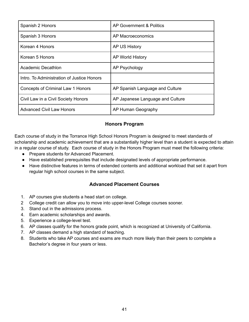| Spanish 2 Honors                           | AP Government & Politics         |
|--------------------------------------------|----------------------------------|
| Spanish 3 Honors                           | AP Macroeconomics                |
| Korean 4 Honors                            | AP US History                    |
| Korean 5 Honors                            | AP World History                 |
| Academic Decathlon                         | AP Psychology                    |
| Intro. To Administration of Justice Honors |                                  |
| <b>Concepts of Criminal Law 1 Honors</b>   | AP Spanish Language and Culture  |
| Civil Law in a Civil Society Honors        | AP Japanese Language and Culture |
| <b>Advanced Civil Law Honors</b>           | AP Human Geography               |

## **Honors Program**

Each course of study in the Torrance High School Honors Program is designed to meet standards of scholarship and academic achievement that are a substantially higher level than a student is expected to attain in a regular course of study. Each course of study in the Honors Program must meet the following criteria:

- Prepare students for Advanced Placement.
- Have established prerequisites that include designated levels of appropriate performance.
- Have distinctive features in terms of extended contents and additional workload that set it apart from regular high school courses in the same subject.

# **Advanced Placement Courses**

- 1. AP courses give students a head start on college.
- 2 College credit can allow you to move into upper-level College courses sooner.
- 3. Stand out in the admissions process.
- 4. Earn academic scholarships and awards.
- 5. Experience a college-level test.
- 6. AP classes qualify for the honors grade point, which is recognized at University of California.
- 7. AP classes demand a high standard of teaching.
- 8. Students who take AP courses and exams are much more likely than their peers to complete a Bachelor's degree in four years or less.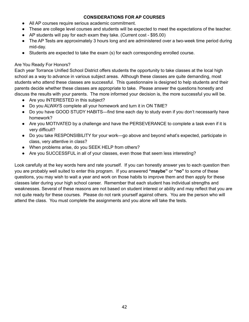### **CONSIDERATIONS FOR AP COURSES**

- All AP courses require serious academic commitment.
- These are college level courses and students will be expected to meet the expectations of the teacher.
- $\bullet$  AP students will pay for each exam they take. (Current cost \$95.00)
- The AP Tests are approximately 3 hours long and are administered over a two-week time period during mid-day.
- Students are expected to take the exam (s) for each corresponding enrolled course.

### Are You Ready For Honors?

Each year Torrance Unified School District offers students the opportunity to take classes at the local high school as a way to advance in various subject areas. Although these classes are quite demanding, most students who attend these classes are successful. This questionnaire is designed to help students and their parents decide whether these classes are appropriate to take. Please answer the questions honestly and discuss the results with your parents. The more informed your decision is, the more successful you will be.

- Are you INTERESTED in this subject?
- Do you ALWAYS complete all your homework and turn it in ON TIME?
- Do you have GOOD STUDY HABITS—find time each day to study even if you don't necessarily have homework?
- Are you MOTIVATED by a challenge and have the PERSEVERANCE to complete a task even if it is very difficult?
- Do you take RESPONSIBILITY for your work—go above and beyond what's expected, participate in class, very attentive in class?
- When problems arise, do you SEEK HELP from others?
- Are you SUCCESSFUL in all of your classes, even those that seem less interesting?

Look carefully at the key words here and rate yourself. If you can honestly answer yes to each question then you are probably well suited to enter this program. If you answered **"maybe"** or **"no"** to some of these questions, you may wish to wait a year and work on those habits to improve them and then apply for these classes later during your high school career. Remember that each student has individual strengths and weaknesses. Several of these reasons are not based on student interest or ability and may reflect that you are not quite ready for these courses. Please do not rank yourself against others. You are the person who will attend the class. You must complete the assignments and you alone will take the tests.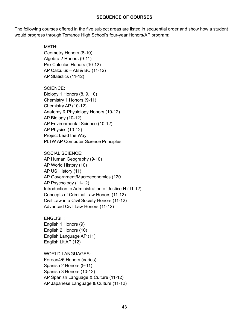### **SEQUENCE OF COURSES**

The following courses offered in the five subject areas are listed in sequential order and show how a student would progress through Torrance High School's four-year Honors/AP program:

> MATH: Geometry Honors (8-10) Algebra 2 Honors (9-11) Pre-Calculus Honors (10-12) AP Calculus – AB & BC (11-12) AP Statistics (11-12)

SCIENCE:

Biology 1 Honors (8, 9, 10) Chemistry 1 Honors (9-11) Chemistry AP (10-12) Anatomy & Physiology Honors (10-12) AP Biology (10-12) AP Environmental Science (10-12) AP Physics (10-12) Project Lead the Way PLTW AP Computer Science Principles

SOCIAL SCIENCE: AP Human Geography (9-10) AP World History (10) AP US History (11) AP Government/Macroeconomics (120 AP Psychology (11-12) Introduction to Administration of Justice H (11-12) Concepts of Criminal Law Honors (11-12) Civil Law in a Civil Society Honors (11-12) Advanced Civil Law Honors (11-12)

ENGLISH: English 1 Honors (9) English 2 Honors (10) English Language AP (11) English Lit AP (12)

WORLD LANGUAGES: Korean4/5 Honors (varies) Spanish 2 Honors (9-11) Spanish 3 Honors (10-12) AP Spanish Language & Culture (11-12) AP Japanese Language & Culture (11-12)